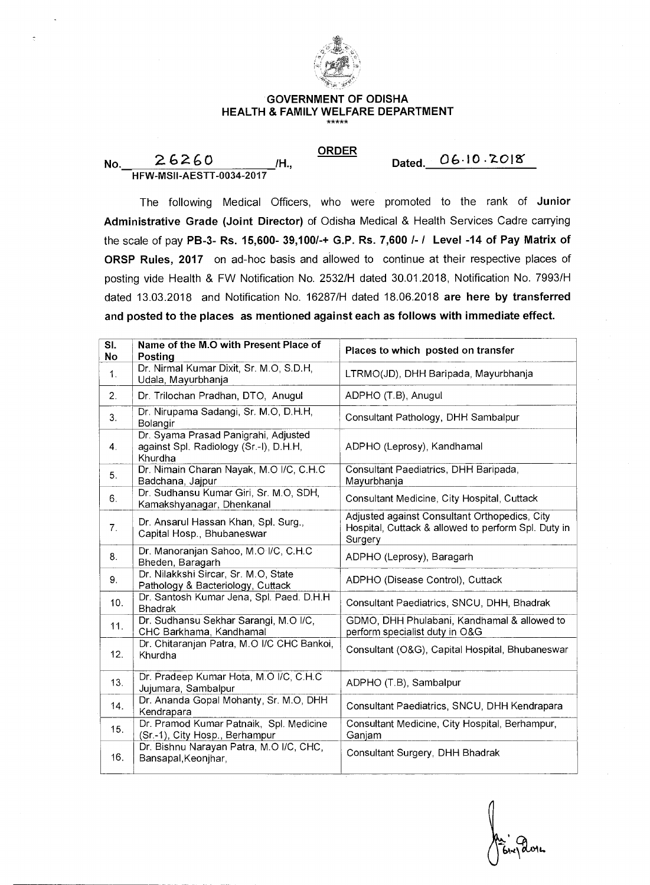

## **GOVERNMENT OF ODISHA HEALTH & FAMILY WELFARE DEPARTMENT**

**ORDER** 

**Dated. 061° • 7-(2M** 

**No.** 26260 **/H., HFW-MSII-AESTT-0034-2017** 

The following Medical Officers, who were promoted to the rank of **Junior Administrative Grade (Joint Director)** of Odisha Medical & Health Services Cadre carrying the scale of pay **PB-3- Rs. 15,600- 39,100/-+ G.P. Rs. 7,600 I- I Level -14 of Pay Matrix of ORSP Rules, 2017** on ad-hoc basis and allowed to continue at their respective places of posting vide Health & FW Notification No. 2532/H dated 30.01.2018, Notification No. 7993/H dated 13.03.2018 and Notification No. 16287/H dated 18.06.2018 **are here by transferred and posted to the places as mentioned against each as follows with immediate effect.** 

| SI.<br>No | Name of the M.O with Present Place of<br>Posting                                          | Places to which posted on transfer                                                                              |
|-----------|-------------------------------------------------------------------------------------------|-----------------------------------------------------------------------------------------------------------------|
| 1.        | Dr. Nirmal Kumar Dixit, Sr. M.O, S.D.H,<br>Udala, Mayurbhanja                             | LTRMO(JD), DHH Baripada, Mayurbhanja                                                                            |
| 2.        | Dr. Trilochan Pradhan, DTO, Anugul                                                        | ADPHO (T.B), Anugul                                                                                             |
| 3.        | Dr. Nirupama Sadangi, Sr. M.O. D.H.H.<br>Bolangir                                         | Consultant Pathology, DHH Sambalpur                                                                             |
| 4.        | Dr. Syama Prasad Panigrahi, Adjusted<br>against Spl. Radiology (Sr.-I), D.H.H,<br>Khurdha | ADPHO (Leprosy), Kandhamal                                                                                      |
| 5.        | Dr. Nimain Charan Nayak, M.O I/C, C.H.C<br>Badchana, Jajpur                               | Consultant Paediatrics, DHH Baripada,<br>Mayurbhanja                                                            |
| 6.        | Dr. Sudhansu Kumar Giri, Sr. M.O, SDH,<br>Kamakshyanagar, Dhenkanal                       | Consultant Medicine, City Hospital, Cuttack                                                                     |
| 7.        | Dr. Ansarul Hassan Khan, Spl. Surg.,<br>Capital Hosp., Bhubaneswar                        | Adjusted against Consultant Orthopedics, City<br>Hospital, Cuttack & allowed to perform Spl. Duty in<br>Surgery |
| 8.        | Dr. Manoranjan Sahoo, M.O I/C, C.H.C<br>Bheden, Baragarh                                  | ADPHO (Leprosy), Baragarh                                                                                       |
| 9.        | Dr. Nilakkshi Sircar, Sr. M.O, State<br>Pathology & Bacteriology, Cuttack                 | ADPHO (Disease Control), Cuttack                                                                                |
| 10.       | Dr. Santosh Kumar Jena, Spl. Paed. D.H.H<br><b>Bhadrak</b>                                | Consultant Paediatrics, SNCU, DHH, Bhadrak                                                                      |
| 11.       | Dr. Sudhansu Sekhar Sarangi, M.O I/C,<br>CHC Barkhama, Kandhamal                          | GDMO, DHH Phulabani, Kandhamal & allowed to<br>perform specialist duty in O&G                                   |
| 12.       | Dr. Chitaranjan Patra, M.O I/C CHC Bankoi,<br>Khurdha                                     | Consultant (O&G), Capital Hospital, Bhubaneswar                                                                 |
| 13.       | Dr. Pradeep Kumar Hota, M.O I/C, C.H.C<br>Jujumara, Sambalpur                             | ADPHO (T.B), Sambalpur                                                                                          |
| 14.       | Dr. Ananda Gopal Mohanty, Sr. M.O. DHH<br>Kendrapara                                      | Consultant Paediatrics, SNCU, DHH Kendrapara                                                                    |
| 15.       | Dr. Pramod Kumar Patnaik, Spl. Medicine<br>(Sr -1), City Hosp., Berhampur                 | Consultant Medicine, City Hospital, Berhampur,<br>Ganjam                                                        |
| 16.       | Dr. Bishnu Narayan Patra, M.O I/C, CHC,<br>Bansapal, Keonjhar,                            | Consultant Surgery, DHH Bhadrak                                                                                 |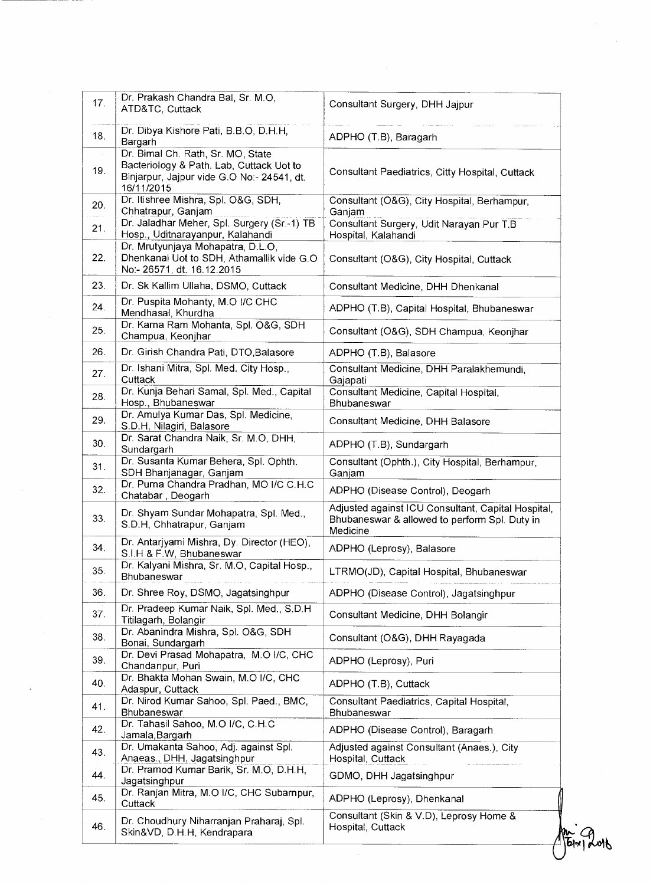| 17. | Dr. Prakash Chandra Bal, Sr. M.O,<br>ATD&TC, Cuttack                                                                                      | Consultant Surgery, DHH Jajpur                                                                                  |
|-----|-------------------------------------------------------------------------------------------------------------------------------------------|-----------------------------------------------------------------------------------------------------------------|
| 18. | Dr. Dibya Kishore Pati, B.B.O, D.H.H.<br>Bargarh                                                                                          | ADPHO (T.B), Baragarh                                                                                           |
| 19. | Dr. Bimal Ch. Rath, Sr. MO, State<br>Bacteriology & Path. Lab, Cuttack Uot to<br>Binjarpur, Jajpur vide G.O No:- 24541, dt.<br>16/11/2015 | Consultant Paediatrics, Citty Hospital, Cuttack                                                                 |
| 20. | Dr. Itishree Mishra, Spl. O&G, SDH,<br>Chhatrapur, Ganjam                                                                                 | Consultant (O&G), City Hospital, Berhampur,<br>Ganjam                                                           |
| 21. | Dr. Jaladhar Meher, Spl. Surgery (Sr.-1) TB<br>Hosp., Uditnarayanpur, Kalahandi                                                           | Consultant Surgery, Udit Narayan Pur T.B<br>Hospital, Kalahandi                                                 |
| 22. | Dr. Mrutyunjaya Mohapatra, D.L.O,<br>Dhenkanal Uot to SDH, Athamallik vide G.O<br>No:- 26571, dt. 16.12.2015                              | Consultant (O&G), City Hospital, Cuttack                                                                        |
| 23. | Dr. Sk Kallim Ullaha, DSMO, Cuttack                                                                                                       | Consultant Medicine, DHH Dhenkanal                                                                              |
| 24. | Dr. Puspita Mohanty, M.O I/C CHC<br>Mendhasal, Khurdha                                                                                    | ADPHO (T.B), Capital Hospital, Bhubaneswar                                                                      |
| 25. | Dr. Karna Ram Mohanta, Spl. O&G, SDH<br>Champua, Keonjhar                                                                                 | Consultant (O&G), SDH Champua, Keonjhar                                                                         |
| 26. | Dr. Girish Chandra Pati, DTO, Balasore                                                                                                    | ADPHO (T.B), Balasore                                                                                           |
| 27. | Dr. Ishani Mitra, Spl. Med. City Hosp.,<br>Cuttack                                                                                        | Consultant Medicine, DHH Paralakhemundi,<br>Gajapati                                                            |
| 28. | Dr. Kunja Behari Samal, Spl. Med., Capital<br>Hosp., Bhubaneswar                                                                          | Consultant Medicine, Capital Hospital,<br>Bhubaneswar                                                           |
| 29. | Dr. Amulya Kumar Das, Spl. Medicine,<br>S.D.H, Nilagiri, Balasore                                                                         | Consultant Medicine, DHH Balasore                                                                               |
| 30. | Dr. Sarat Chandra Naik, Sr. M.O, DHH,<br>Sundargarh                                                                                       | ADPHO (T.B), Sundargarh                                                                                         |
| 31. | Dr. Susanta Kumar Behera, Spl. Ophth.<br>SDH Bhanjanagar, Ganjam                                                                          | Consultant (Ophth.), City Hospital, Berhampur,<br>Ganjam                                                        |
| 32. | Dr. Purna Chandra Pradhan, MO I/C C.H.C<br>Chatabar, Deogarh                                                                              | ADPHO (Disease Control), Deogarh                                                                                |
| 33. | Dr. Shyam Sundar Mohapatra, Spl. Med.,<br>S.D.H, Chhatrapur, Ganjam                                                                       | Adjusted against ICU Consultant, Capital Hospital,<br>Bhubaneswar & allowed to perform Spl. Duty in<br>Medicine |
| 34. | Dr. Antarjyami Mishra, Dy. Director (HEO),<br>S.I.H & F.W, Bhubaneswar                                                                    | ADPHO (Leprosy), Balasore                                                                                       |
| 35. | Dr. Kalyani Mishra, Sr. M.O, Capital Hosp.,<br>Bhubaneswar                                                                                | LTRMO(JD), Capital Hospital, Bhubaneswar                                                                        |
| 36. | Dr. Shree Roy, DSMO, Jagatsinghpur                                                                                                        | ADPHO (Disease Control), Jagatsinghpur                                                                          |
| 37. | Dr. Pradeep Kumar Naik, Spl. Med., S.D.H<br>Titilagarh, Bolangir                                                                          | Consultant Medicine, DHH Bolangir                                                                               |
| 38. | Dr. Abanindra Mishra, Spl. O&G, SDH<br>Bonai, Sundargarh                                                                                  | Consultant (O&G), DHH Rayagada                                                                                  |
| 39. | Dr. Devi Prasad Mohapatra, M.O I/C, CHC<br>Chandanpur, Puri                                                                               | ADPHO (Leprosy), Puri                                                                                           |
| 40. | Dr. Bhakta Mohan Swain, M.O I/C, CHC<br>Adaspur, Cuttack                                                                                  | ADPHO (T.B), Cuttack                                                                                            |
| 41. | Dr. Nirod Kumar Sahoo, Spl. Paed., BMC,<br>Bhubaneswar                                                                                    | Consultant Paediatrics, Capital Hospital,<br>Bhubaneswar                                                        |
| 42. | Dr. Tahasil Sahoo, M.O I/C, C.H.C<br>Jamala, Bargarh                                                                                      | ADPHO (Disease Control), Baragarh                                                                               |
| 43. | Dr. Umakanta Sahoo, Adj. against Spl.<br>Anaeas., DHH, Jagatsinghpur                                                                      | Adjusted against Consultant (Anaes.), City<br>Hospital, Cuttack                                                 |
| 44. | Dr. Pramod Kumar Barik, Sr. M.O, D.H.H,<br>Jagatsinghpur                                                                                  | GDMO, DHH Jagatsinghpur                                                                                         |
| 45. | Dr. Ranjan Mitra, M.O I/C, CHC Subarnpur,<br>Cuttack                                                                                      | ADPHO (Leprosy), Dhenkanal                                                                                      |
| 46. | Dr. Choudhury Niharranjan Praharaj, Spl.                                                                                                  | Consultant (Skin & V.D), Leprosy Home &<br>Hospital, Cuttack                                                    |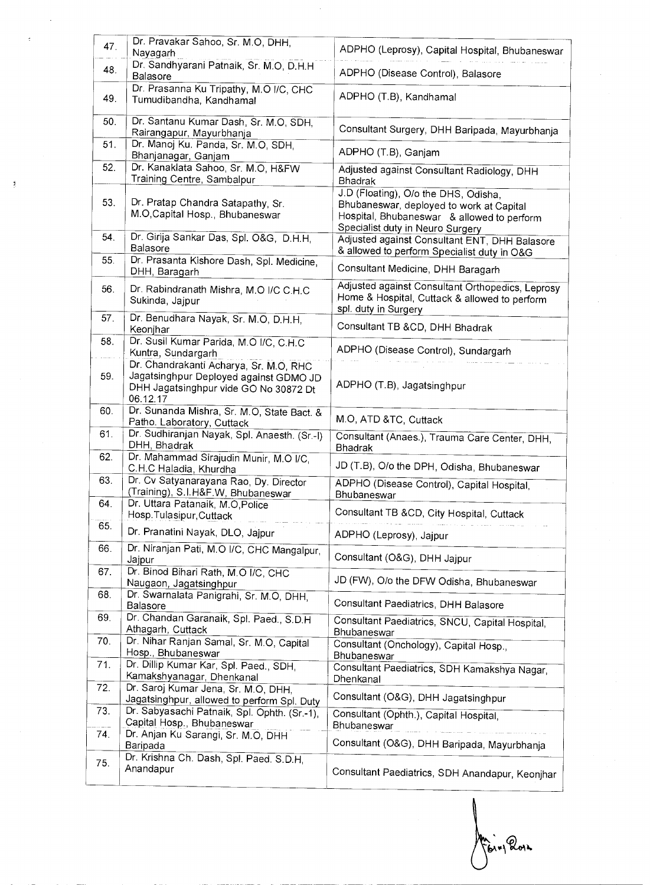| 47. | Dr. Pravakar Sahoo, Sr. M.O. DHH.<br>Nayagarh                                                                                         | ADPHO (Leprosy), Capital Hospital, Bhubaneswar                                                                                                                     |
|-----|---------------------------------------------------------------------------------------------------------------------------------------|--------------------------------------------------------------------------------------------------------------------------------------------------------------------|
| 48. | Dr. Sandhyarani Patnaik, Sr. M.O, D.H.H.                                                                                              |                                                                                                                                                                    |
|     | <b>Balasore</b>                                                                                                                       | ADPHO (Disease Control), Balasore                                                                                                                                  |
| 49. | Dr. Prasanna Ku Tripathy, M.O I/C, CHC<br>Tumudibandha, Kandhamal                                                                     | ADPHO (T.B), Kandhamal                                                                                                                                             |
| 50. | Dr. Santanu Kumar Dash, Sr. M.O, SDH,<br>Rairangapur, Mayurbhanja                                                                     | Consultant Surgery, DHH Baripada, Mayurbhanja                                                                                                                      |
| 51. | Dr. Manoj Ku. Panda, Sr. M.O. SDH.<br>Bhanjanagar, Ganjam                                                                             | ADPHO (T.B), Ganjam                                                                                                                                                |
| 52. | Dr. Kanaklata Sahoo, Sr. M.O. H&FW<br>Training Centre, Sambalpur                                                                      | Adjusted against Consultant Radiology, DHH<br><b>Bhadrak</b>                                                                                                       |
| 53. | Dr. Pratap Chandra Satapathy, Sr.<br>M.O, Capital Hosp., Bhubaneswar                                                                  | J.D (Floating), O/o the DHS, Odisha,<br>Bhubaneswar, deployed to work at Capital<br>Hospital, Bhubaneswar & allowed to perform<br>Specialist duty in Neuro Surgery |
| 54. | Dr. Girija Sankar Das, Spl. O&G, D.H.H.<br>Balasore                                                                                   | Adjusted against Consultant ENT, DHH Balasore<br>& allowed to perform Specialist duty in O&G                                                                       |
| 55. | Dr. Prasanta Kishore Dash, Spl. Medicine,<br>DHH, Baragarh                                                                            | Consultant Medicine, DHH Baragarh                                                                                                                                  |
| 56. | Dr. Rabindranath Mishra, M.O I/C C.H.C<br>Sukinda, Jajpur                                                                             | Adjusted against Consultant Orthopedics, Leprosy<br>Home & Hospital, Cuttack & allowed to perform<br>spl. duty in Surgery                                          |
| 57. | Dr. Benudhara Nayak, Sr. M.O, D.H.H.<br>Keonjhar                                                                                      | Consultant TB &CD, DHH Bhadrak                                                                                                                                     |
| 58. | Dr. Susil Kumar Parida, M.O I/C, C.H.C<br>Kuntra, Sundargarh                                                                          | ADPHO (Disease Control), Sundargarh                                                                                                                                |
| 59. | Dr. Chandrakanti Acharya, Sr. M.O. RHC<br>Jagatsinghpur Deployed against GDMO JD<br>DHH Jagatsinghpur vide GO No 30872 Dt<br>06.12.17 | ADPHO (T.B), Jagatsinghpur                                                                                                                                         |
| 60. | Dr. Sunanda Mishra, Sr. M.O, State Bact. &<br>Patho. Laboratory, Cuttack                                                              | M.O, ATD &TC, Cuttack                                                                                                                                              |
| 61. | Dr. Sudhiranjan Nayak, Spl. Anaesth. (Sr -I)<br>DHH, Bhadrak                                                                          | Consultant (Anaes.), Trauma Care Center, DHH,<br><b>Bhadrak</b>                                                                                                    |
| 62. | Dr. Mahammad Sirajudin Munir, M.O I/C,<br>C.H.C Haladia, Khurdha                                                                      | JD (T.B), O/o the DPH, Odisha, Bhubaneswar                                                                                                                         |
| 63. | Dr. Cv Satyanarayana Rao, Dy. Director<br>(Training), S.I.H&F.W, Bhubaneswar                                                          | ADPHO (Disease Control), Capital Hospital,<br>Bhubaneswar                                                                                                          |
| 64. | Dr. Uttara Patanaik, M.O.Police<br>Hosp.Tulasipur,Cuttack                                                                             | Consultant TB &CD, City Hospital, Cuttack                                                                                                                          |
| 65. | Dr. Pranatini Nayak, DLO, Jajpur                                                                                                      | ADPHO (Leprosy), Jajpur                                                                                                                                            |
| 66. | Dr. Niranjan Pati, M.O I/C, CHC Mangalpur,<br>Jajpur                                                                                  | Consultant (O&G), DHH Jajpur                                                                                                                                       |
| 67. | Dr. Binod Bihari Rath, M.O I/C, CHC<br>Naugaon, Jagatsinghpur                                                                         | JD (FW), O/o the DFW Odisha, Bhubaneswar                                                                                                                           |
| 68. | Dr. Swarnalata Panigrahi, Sr. M.O, DHH,<br>Balasore                                                                                   | Consultant Paediatrics, DHH Balasore                                                                                                                               |
| 69. | Dr. Chandan Garanaik, Spl. Paed., S.D.H.<br>Athagarh, Cuttack                                                                         | Consultant Paediatrics, SNCU, Capital Hospital,<br>Bhubaneswar                                                                                                     |
| 70. | Dr. Nihar Ranjan Samal, Sr. M.O, Capital<br>Hosp., Bhubaneswar                                                                        | Consultant (Onchology), Capital Hosp.,<br>Bhubaneswar                                                                                                              |
| 71. | Dr. Dillip Kumar Kar, Spl. Paed., SDH,<br>Kamakshyanagar, Dhenkanal                                                                   | Consultant Paediatrics, SDH Kamakshya Nagar,<br>Dhenkanal                                                                                                          |
| 72. | Dr. Saroj Kumar Jena, Sr. M.O, DHH,<br>Jagatsinghpur, allowed to perform Spl. Duty                                                    | Consultant (O&G), DHH Jagatsinghpur                                                                                                                                |
| 73. | Dr. Sabyasachi Patnaik, Spl. Ophth. (Sr.-1),<br>Capital Hosp., Bhubaneswar                                                            | Consultant (Ophth.), Capital Hospital,                                                                                                                             |
| 74. | Dr. Anjan Ku Sarangi, Sr. M.O, DHH<br>Baripada                                                                                        | Bhubaneswar<br>Consultant (O&G), DHH Baripada, Mayurbhanja                                                                                                         |
| 75. | Dr. Krishna Ch. Dash, Spl. Paed. S.D.H.<br>Anandapur                                                                                  | Consultant Paediatrics, SDH Anandapur, Keonjhar                                                                                                                    |

 $\mathcal{N}$ Bing Roys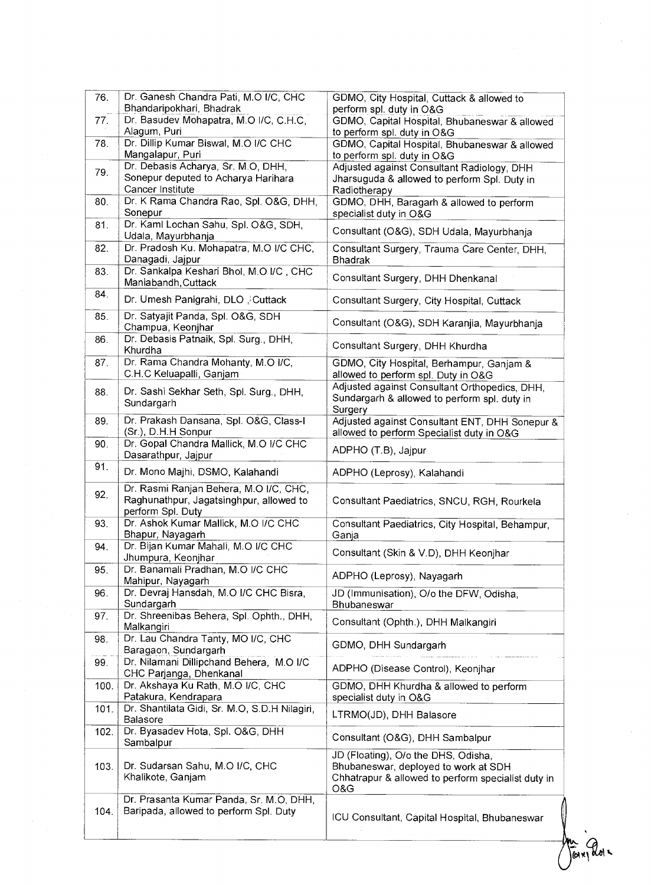| 76.  | Dr. Ganesh Chandra Pati, M.O I/C, CHC                      | GDMO, City Hospital, Cuttack & allowed to                                    |
|------|------------------------------------------------------------|------------------------------------------------------------------------------|
|      | Bhandaripokhari, Bhadrak                                   | perform spl. duty in O&G                                                     |
| 77.  | Dr. Basudev Mohapatra, M.O I/C, C.H.C,                     | GDMO, Capital Hospital, Bhubaneswar & allowed                                |
|      | Alagum, Puri                                               | to perform spl. duty in O&G                                                  |
| 78.  | Dr. Dillip Kumar Biswal, M.O I/C CHC<br>Mangalapur, Puri   | GDMO, Capital Hospital, Bhubaneswar & allowed<br>to perform spl. duty in O&G |
|      | Dr. Debasis Acharya, Sr. M.O. DHH,                         | Adjusted against Consultant Radiology, DHH                                   |
| 79.  | Sonepur deputed to Acharya Harihara                        | Jharsuguda & allowed to perform Spl. Duty in                                 |
|      | Cancer Institute                                           | Radiotherapy                                                                 |
| 80.  | Dr. K Rama Chandra Rao, Spl. O&G, DHH,                     | GDMO, DHH, Baragarh & allowed to perform                                     |
|      | Sonepur                                                    | specialist duty in O&G                                                       |
| 81.  | Dr. Kaml Lochan Sahu, Spl. O&G, SDH,<br>Udala, Mayurbhanja | Consultant (O&G), SDH Udala, Mayurbhanja                                     |
| 82.  | Dr. Pradosh Ku. Mohapatra, M.O I/C CHC,                    | Consultant Surgery, Trauma Care Center, DHH,                                 |
|      | Danagadi, Jajpur                                           | <b>Bhadrak</b>                                                               |
| 83.  | Dr. Sankalpa Keshari Bhol, M.O I/C, CHC                    |                                                                              |
|      | Maniabandh, Cuttack                                        | Consultant Surgery, DHH Dhenkanal                                            |
| 84.  |                                                            |                                                                              |
|      | Dr. Umesh Panigrahi, DLO , Cuttack                         | Consultant Surgery, City Hospital, Cuttack                                   |
| 85.  | Dr. Satyajit Panda, Spl. O&G, SDH                          |                                                                              |
|      | Champua, Keonjhar                                          | Consultant (O&G), SDH Karanjia, Mayurbhanja                                  |
| 86.  | Dr. Debasis Patnaik, Spl. Surg., DHH,                      | Consultant Surgery, DHH Khurdha                                              |
|      | Khurdha                                                    |                                                                              |
| 87.  | Dr. Rama Chandra Mohanty, M.O I/C.                         | GDMO, City Hospital, Berhampur, Ganjam &                                     |
|      | C.H.C Keluapalli, Ganjam                                   | allowed to perform spl. Duty in O&G                                          |
| 88.  | Dr. Sashi Sekhar Seth, Spl. Surg., DHH,                    | Adjusted against Consultant Orthopedics, DHH.                                |
|      | Sundargarh                                                 | Sundargarh & allowed to perform spl. duty in                                 |
|      |                                                            | Surgery                                                                      |
| 89.  | Dr. Prakash Dansana, Spl. O&G, Class-I                     | Adjusted against Consultant ENT, DHH Sonepur &                               |
|      | (Sr.), D.H.H Sonpur                                        | allowed to perform Specialist duty in O&G                                    |
| 90.  | Dr. Gopal Chandra Mallick, M.O I/C CHC                     |                                                                              |
|      | Dasarathpur, Jajpur                                        | ADPHO (T.B), Jajpur                                                          |
| 91.  |                                                            |                                                                              |
|      | Dr. Mono Majhi, DSMO, Kalahandi                            | ADPHO (Leprosy), Kalahandi                                                   |
|      |                                                            |                                                                              |
| 92.  | Dr. Rasmi Ranjan Behera, M.O I/C, CHC,                     |                                                                              |
|      | Raghunathpur, Jagatsinghpur, allowed to                    | Consultant Paediatrics, SNCU, RGH, Rourkela                                  |
|      | perform Spl. Duty                                          |                                                                              |
| 93.  | Dr. Ashok Kumar Mallick, M.O I/C CHC                       | Consultant Paediatrics, City Hospital, Behampur,                             |
|      | Bhapur, Nayagarh                                           | Ganja                                                                        |
| 94.  | Dr. Bijan Kumar Mahali, M.O I/C CHC                        | Consultant (Skin & V.D), DHH Keonjhar                                        |
|      | Jhumpura, Keonjhar                                         |                                                                              |
| 95.  | Dr. Banamali Pradhan, M.O I/C CHC                          | ADPHO (Leprosy), Nayagarh                                                    |
|      | Mahipur, Nayagarh                                          |                                                                              |
| 96.  | Dr. Devraj Hansdah, M.O I/C CHC Bisra,                     | JD (Immunisation), O/o the DFW, Odisha,                                      |
|      | Sundargarh                                                 | Bhubaneswar                                                                  |
| 97.  | Dr. Shreenibas Behera, Spl. Ophth., DHH,                   | Consultant (Ophth.), DHH Malkangiri                                          |
|      | Malkangiri                                                 |                                                                              |
| 98.  | Dr. Lau Chandra Tanty, MO I/C, CHC                         | GDMO, DHH Sundargarh                                                         |
|      | Baragaon, Sundargarh                                       |                                                                              |
| 99.  | Dr. Nilamani Dillipchand Behera, M.O I/C                   |                                                                              |
|      | CHC Parjanga, Dhenkanal                                    | ADPHO (Disease Control), Keonjhar                                            |
| 100. | Dr. Akshaya Ku Rath, M.O I/C, CHC                          | GDMO, DHH Khurdha & allowed to perform                                       |
|      | Patakura, Kendrapara                                       | specialist duty in O&G                                                       |
| 101. | Dr. Shantilata Gidi, Sr. M.O, S.D.H Nilagiri,              |                                                                              |
|      | Balasore                                                   | LTRMO(JD), DHH Balasore                                                      |
| 102. | Dr. Byasadev Hota, Spl. O&G, DHH                           |                                                                              |
|      | Sambalpur                                                  | Consultant (O&G), DHH Sambalpur                                              |
|      |                                                            | JD (Floating), O/o the DHS, Odisha,                                          |
| 103. | Dr. Sudarsan Sahu, M.O I/C, CHC                            | Bhubaneswar, deployed to work at SDH                                         |
|      | Khalikote, Ganjam                                          | Chhatrapur & allowed to perform specialist duty in                           |
|      |                                                            | O&G                                                                          |
|      | Dr. Prasanta Kumar Panda, Sr. M.O. DHH,                    |                                                                              |
| 104. | Baripada, allowed to perform Spl. Duty                     |                                                                              |
|      |                                                            | ICU Consultant, Capital Hospital, Bhubaneswar                                |

Mr doix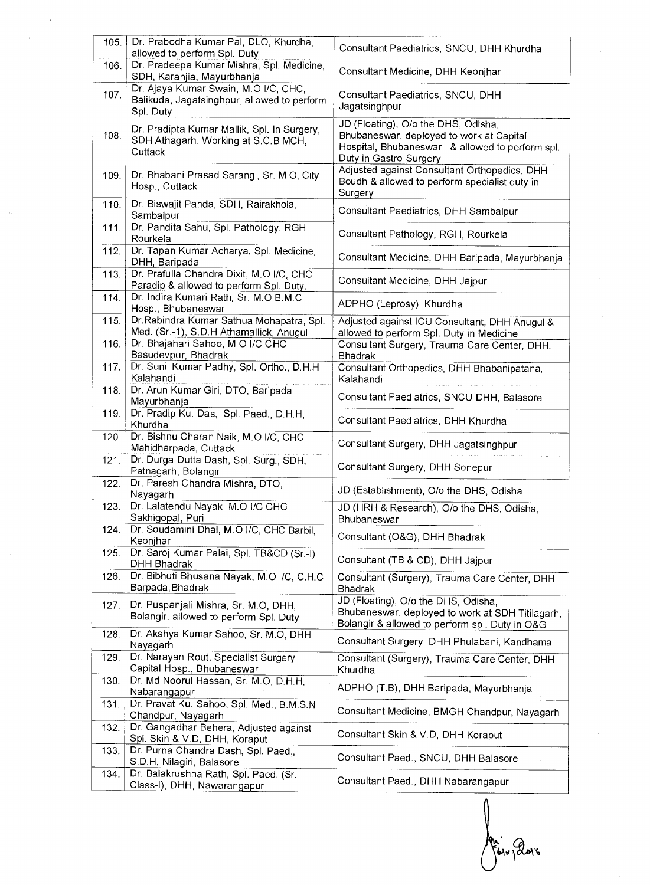| 105. | Dr. Prabodha Kumar Pal, DLO, Khurdha,                                                             | Consultant Paediatrics, SNCU, DHH Khurdha                                                                                                                    |
|------|---------------------------------------------------------------------------------------------------|--------------------------------------------------------------------------------------------------------------------------------------------------------------|
| 106. | allowed to perform Spl. Duty<br>Dr. Pradeepa Kumar Mishra, Spl. Medicine,                         |                                                                                                                                                              |
|      | SDH, Karanjia, Mayurbhanja                                                                        | Consultant Medicine, DHH Keonjhar                                                                                                                            |
| 107. | Dr. Ajaya Kumar Swain, M.O I/C, CHC,<br>Balikuda, Jagatsinghpur, allowed to perform<br>Spl. Duty  | Consultant Paediatrics, SNCU, DHH<br>Jagatsinghpur                                                                                                           |
| 108. | Dr. Pradipta Kumar Mallik, Spl. In Surgery,<br>SDH Athagarh, Working at S.C.B MCH,<br>Cuttack     | JD (Floating), O/o the DHS, Odisha,<br>Bhubaneswar, deployed to work at Capital<br>Hospital, Bhubaneswar & allowed to perform spl.<br>Duty in Gastro-Surgery |
| 109. | Dr. Bhabani Prasad Sarangi, Sr. M.O, City<br>Hosp., Cuttack                                       | Adjusted against Consultant Orthopedics, DHH<br>Boudh & allowed to perform specialist duty in<br>Surgery                                                     |
| 110. | Dr. Biswajit Panda, SDH, Rairakhola,<br>Sambalpur                                                 | Consultant Paediatrics, DHH Sambalpur                                                                                                                        |
| 111. | Dr. Pandita Sahu, Spl. Pathology, RGH<br>Rourkela                                                 | Consultant Pathology, RGH, Rourkela                                                                                                                          |
| 112. | Dr. Tapan Kumar Acharya, Spl. Medicine,<br>DHH, Baripada                                          | Consultant Medicine, DHH Baripada, Mayurbhanja                                                                                                               |
| 113. | Dr. Prafulla Chandra Dixit, M.O I/C, CHC<br>Paradip & allowed to perform Spl. Duty.               | Consultant Medicine, DHH Jajpur                                                                                                                              |
| 114. | Dr. Indira Kumari Rath, Sr. M.O B.M.C<br>Hosp., Bhubaneswar                                       | ADPHO (Leprosy), Khurdha                                                                                                                                     |
| 115. | Dr.Rabindra Kumar Sathua Mohapatra, Spl.<br>Med. (Sr.-1), S.D.H Athamallick, Anugul               | Adjusted against ICU Consultant, DHH Anugul &<br>allowed to perform Spl. Duty in Medicine                                                                    |
| 116. | Dr. Bhajahari Sahoo, M.O I/C CHC<br>Basudevpur, Bhadrak                                           | Consultant Surgery, Trauma Care Center, DHH,<br><b>Bhadrak</b>                                                                                               |
| 117. | Dr. Sunil Kumar Padhy, Spl. Ortho., D.H.H.<br>Kalahandi                                           | Consultant Orthopedics, DHH Bhabanipatana,<br>Kalahandi                                                                                                      |
| 118. | Dr. Arun Kumar Giri, DTO, Baripada,<br>Mayurbhanja                                                | Consultant Paediatrics, SNCU DHH, Balasore                                                                                                                   |
| 119. | Dr. Pradip Ku. Das, Spl. Paed., D.H.H.<br>Khurdha                                                 | Consultant Paediatrics, DHH Khurdha                                                                                                                          |
| 120. | Dr. Bishnu Charan Naik, M.O I/C, CHC<br>Mahidharpada, Cuttack                                     | Consultant Surgery, DHH Jagatsinghpur                                                                                                                        |
| 121. | Dr. Durga Dutta Dash, Spl. Surg., SDH,<br>Patnagarh, Bolangir                                     | Consultant Surgery, DHH Sonepur                                                                                                                              |
| 122. | Dr. Paresh Chandra Mishra, DTO,<br>Nayagarh                                                       | JD (Establishment), O/o the DHS, Odisha                                                                                                                      |
| 123. | Dr. Lalatendu Nayak, M.O I/C CHC<br>Sakhigopal, Puri                                              | JD (HRH & Research), O/o the DHS, Odisha,<br>Bhubaneswar                                                                                                     |
| 124. | Dr. Soudamini Dhal, M.O I/C, CHC Barbil,<br>Keonjhar                                              | Consultant (O&G), DHH Bhadrak                                                                                                                                |
| 125. | Dr. Saroj Kumar Palai, Spl. TB&CD (Sr.-I)                                                         |                                                                                                                                                              |
|      | DHH Bhadrak                                                                                       | Consultant (TB & CD), DHH Jajpur                                                                                                                             |
| 126. | Dr. Bibhuti Bhusana Nayak, M.O I/C, C.H.C.<br>Barpada, Bhadrak                                    | Consultant (Surgery), Trauma Care Center, DHH<br>Bhadrak                                                                                                     |
| 127. | Dr. Puspanjali Mishra, Sr. M.O, DHH,<br>Bolangir, allowed to perform Spl. Duty                    | JD (Floating), O/o the DHS, Odisha,<br>Bhubaneswar, deployed to work at SDH Titilagarh,                                                                      |
| 128. | Dr. Akshya Kumar Sahoo, Sr. M.O, DHH.                                                             | Bolangir & allowed to perform spl. Duty in O&G<br>Consultant Surgery, DHH Phulabani, Kandhamal                                                               |
| 129. | Nayagarh<br>Dr. Narayan Rout, Specialist Surgery                                                  | Consultant (Surgery), Trauma Care Center, DHH<br>Khurdha                                                                                                     |
| 130. | Capital Hosp., Bhubaneswar<br>Dr. Md Noorul Hassan, Sr. M.O, D.H.H.<br>Nabarangapur               | ADPHO (T.B), DHH Baripada, Mayurbhanja                                                                                                                       |
| 131. | Dr. Pravat Ku. Sahoo, Spl. Med., B.M.S.N<br>Chandpur, Nayagarh                                    | Consultant Medicine, BMGH Chandpur, Nayagarh                                                                                                                 |
| 132. | Dr. Gangadhar Behera, Adjusted against                                                            | Consultant Skin & V.D, DHH Koraput                                                                                                                           |
| 133. | Spl. Skin & V.D, DHH, Koraput<br>Dr. Purna Chandra Dash, Spl. Paed.,<br>S.D.H, Nilagiri, Balasore | Consultant Paed., SNCU, DHH Balasore                                                                                                                         |

Aniv Boro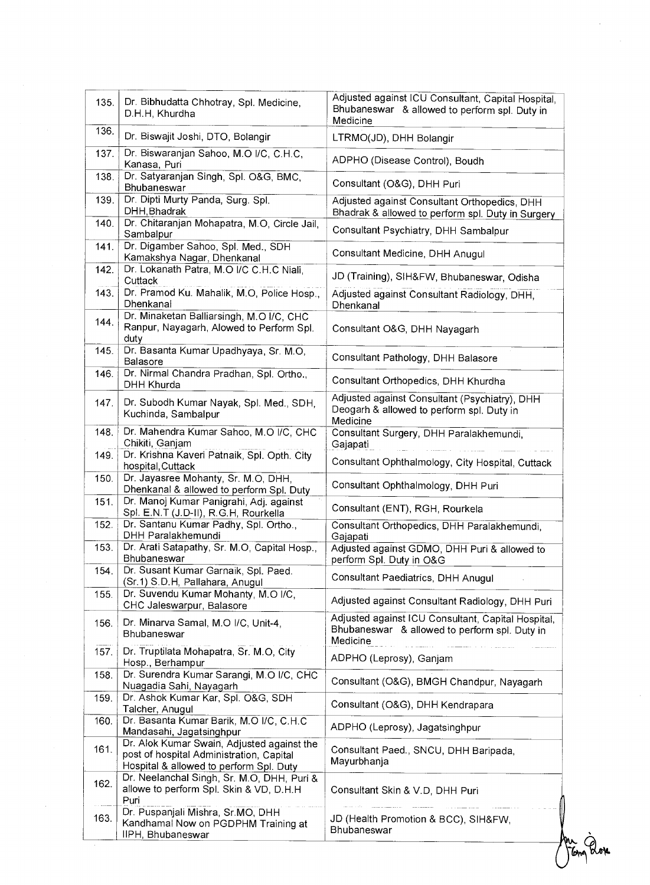| 135. | Dr. Bibhudatta Chhotray, Spl. Medicine,<br>D.H.H, Khurdha                                                                         | Adjusted against ICU Consultant, Capital Hospital,<br>Bhubaneswar & allowed to perform spl. Duty in<br>Medicine |
|------|-----------------------------------------------------------------------------------------------------------------------------------|-----------------------------------------------------------------------------------------------------------------|
| 136. | Dr. Biswajit Joshi, DTO, Bolangir                                                                                                 | LTRMO(JD), DHH Bolangir                                                                                         |
| 137. | Dr. Biswaranjan Sahoo, M.O I/C, C.H.C.<br>Kanasa, Puri                                                                            | ADPHO (Disease Control), Boudh                                                                                  |
| 138. | Dr. Satyaranjan Singh, Spl. O&G, BMC,<br>Bhubaneswar                                                                              | Consultant (O&G), DHH Puri                                                                                      |
| 139. | Dr. Dipti Murty Panda, Surg. Spl.<br>DHH, Bhadrak                                                                                 | Adjusted against Consultant Orthopedics, DHH<br>Bhadrak & allowed to perform spl. Duty in Surgery               |
| 140. | Dr. Chitaranjan Mohapatra, M.O. Circle Jail,<br>Sambalpur                                                                         | Consultant Psychiatry, DHH Sambalpur                                                                            |
| 141. | Dr. Digamber Sahoo, Spl. Med., SDH<br>Kamakshya Nagar, Dhenkanal                                                                  | Consultant Medicine, DHH Anugul                                                                                 |
| 142. | Dr. Lokanath Patra, M.O I/C C.H.C Niali,<br>Cuttack                                                                               | JD (Training), SIH&FW, Bhubaneswar, Odisha                                                                      |
| 143. | Dr. Pramod Ku. Mahalik, M.O, Police Hosp.,<br>Dhenkanal                                                                           | Adjusted against Consultant Radiology, DHH,<br>Dhenkanal                                                        |
| 144. | Dr. Minaketan Balliarsingh, M.O I/C, CHC<br>Ranpur, Nayagarh, Alowed to Perform Spl.<br>duty                                      | Consultant O&G, DHH Nayagarh                                                                                    |
| 145. | Dr. Basanta Kumar Upadhyaya, Sr. M.O.<br>Balasore                                                                                 | Consultant Pathology, DHH Balasore                                                                              |
| 146. | Dr. Nirmal Chandra Pradhan, Spl. Ortho.,<br>DHH Khurda                                                                            | Consultant Orthopedics, DHH Khurdha                                                                             |
| 147. | Dr. Subodh Kumar Nayak, Spl. Med., SDH,<br>Kuchinda, Sambalpur                                                                    | Adjusted against Consultant (Psychiatry), DHH<br>Deogarh & allowed to perform spl. Duty in<br>Medicine          |
| 148. | Dr. Mahendra Kumar Sahoo, M.O I/C, CHC<br>Chikiti, Ganjam                                                                         | Consultant Surgery, DHH Paralakhemundi,<br>Gajapati                                                             |
| 149. | Dr. Krishna Kaveri Patnaik, Spl. Opth. City<br>hospital, Cuttack                                                                  | Consultant Ophthalmology, City Hospital, Cuttack                                                                |
| 150. | Dr. Jayasree Mohanty, Sr. M.O, DHH,<br>Dhenkanal & allowed to perform Spl. Duty                                                   | Consultant Ophthalmology, DHH Puri                                                                              |
| 151. | Dr. Manoj Kumar Panigrahi, Adj. against<br>Spl. E.N.T (J.D-II), R.G.H, Rourkella                                                  | Consultant (ENT), RGH, Rourkela                                                                                 |
| 152. | Dr. Santanu Kumar Padhy, Spl. Ortho.,<br>DHH Paralakhemundi                                                                       | Consultant Orthopedics, DHH Paralakhemundi,<br>Gajapati                                                         |
| 153. | Dr. Arati Satapathy, Sr. M.O. Capital Hosp.,<br>Bhubaneswar                                                                       | Adjusted against GDMO, DHH Puri & allowed to<br>perform Spl. Duty in O&G                                        |
| 154. | Dr. Susant Kumar Garnaik, Spl. Paed.<br>(Sr.1) S.D.H, Pallahara, Anugul                                                           | Consultant Paediatrics, DHH Anugul                                                                              |
| 155. | Dr. Suvendu Kumar Mohanty, M.O I/C,<br>CHC Jaleswarpur, Balasore                                                                  | Adjusted against Consultant Radiology, DHH Puri                                                                 |
| 156. | Dr. Minarva Samal, M.O I/C, Unit-4,<br><b>Bhubaneswar</b>                                                                         | Adjusted against ICU Consultant, Capital Hospital,<br>Bhubaneswar & allowed to perform spl. Duty in<br>Medicine |
| 157. | Dr. Truptilata Mohapatra, Sr. M.O, City<br>Hosp., Berhampur                                                                       | ADPHO (Leprosy), Ganjam                                                                                         |
| 158. | Dr. Surendra Kumar Sarangi, M.O I/C, CHC<br>Nuagadia Sahi, Nayagarh                                                               | Consultant (O&G), BMGH Chandpur, Nayagarh                                                                       |
| 159. | Dr. Ashok Kumar Kar, Spl. O&G, SDH<br>Talcher, Anugul                                                                             | Consultant (O&G), DHH Kendrapara                                                                                |
| 160. | Dr. Basanta Kumar Barik, M.O I/C, C.H.C.<br>Mandasahi, Jagatsinghpur                                                              | ADPHO (Leprosy), Jagatsinghpur                                                                                  |
| 161. | Dr. Alok Kumar Swain, Adjusted against the<br>post of hospital Administration, Capital<br>Hospital & allowed to perform Spl. Duty | Consultant Paed., SNCU, DHH Baripada,<br>Mayurbhanja                                                            |
| 162. | Dr. Neelanchal Singh, Sr. M.O, DHH, Puri &<br>allowe to perform Spl. Skin & VD, D.H.H<br>Puri                                     | Consultant Skin & V.D, DHH Puri                                                                                 |
| 163. | Dr. Puspanjali Mishra, Sr.MO, DHH<br>Kandhamal Now on PGDPHM Training at<br>IIPH, Bhubaneswar                                     | JD (Health Promotion & BCC), SIH&FW,<br>Bhubaneswar                                                             |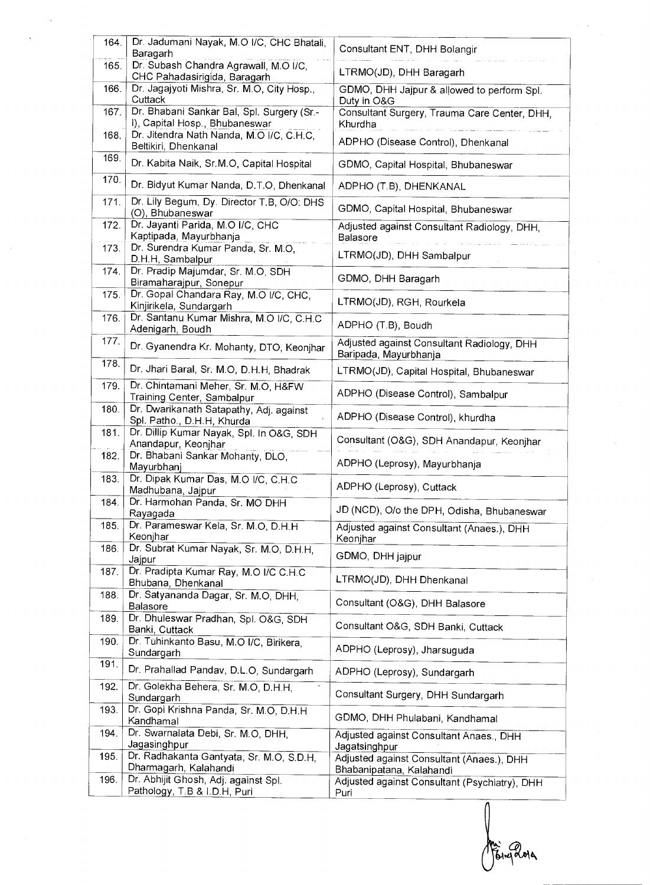| 164. | Dr. Jadumani Nayak, M.O I/C, CHC Bhatali,                                    | Consultant ENT, DHH Bolangir                                              |
|------|------------------------------------------------------------------------------|---------------------------------------------------------------------------|
|      | Baragarh                                                                     |                                                                           |
| 165. | Dr. Subash Chandra Agrawall, M.O I/C,<br>CHC Pahadasirigida, Baragarh        | LTRMO(JD), DHH Baragarh                                                   |
| 166. | Dr. Jagajyoti Mishra, Sr. M.O, City Hosp.,<br>Cuttack                        | GDMO, DHH Jajpur & allowed to perform Spl.<br>Duty in O&G                 |
| 167. | Dr. Bhabani Sankar Bal, Spl. Surgery (Sr.-<br>I), Capital Hosp., Bhubaneswar | Consultant Surgery, Trauma Care Center, DHH,                              |
| 168. | Dr. Jitendra Nath Nanda, M.O I/C, C.H.C,                                     | Khurdha<br>ADPHO (Disease Control), Dhenkanal                             |
| 169. | Beltikiri, Dhenkanal<br>Dr. Kabita Naik, Sr.M.O, Capital Hospital            | GDMO, Capital Hospital, Bhubaneswar                                       |
| 170. | Dr. Bidyut Kumar Nanda, D.T.O, Dhenkanal                                     |                                                                           |
| 171. | Dr. Lily Begum, Dy. Director T.B, O/O. DHS                                   | ADPHO (T.B), DHENKANAL                                                    |
| 172. | (O), Bhubaneswar<br>Dr. Jayanti Parida, M.O I/C, CHC                         | GDMO, Capital Hospital, Bhubaneswar                                       |
|      | Kaptipada, Mayurbhanja                                                       | Adjusted against Consultant Radiology, DHH,<br><b>Balasore</b>            |
| 173. | Dr. Surendra Kumar Panda, Sr. M.O,<br>D.H.H, Sambalpur                       | LTRMO(JD), DHH Sambalpur                                                  |
| 174. | Dr. Pradip Majumdar, Sr. M.O. SDH<br>Biramaharajpur, Sonepur                 | GDMO, DHH Baragarh                                                        |
| 175. | Dr. Gopal Chandara Ray, M.O I/C, CHC,<br>Kinjirikela, Sundargarh             | LTRMO(JD), RGH, Rourkela                                                  |
| 176. | Dr. Santanu Kumar Mishra, M.O I/C, C.H.C<br>Adenigarh, Boudh                 | ADPHO (T.B), Boudh                                                        |
| 177. | Dr. Gyanendra Kr. Mohanty, DTO, Keonjhar                                     | Adjusted against Consultant Radiology, DHH<br>Baripada, Mayurbhanja       |
| 178. | Dr. Jhari Baral, Sr. M.O, D.H.H, Bhadrak                                     | LTRMO(JD), Capital Hospital, Bhubaneswar                                  |
| 179. | Dr. Chintamani Meher, Sr. M.O, H&FW<br>Training Center, Sambalpur            | ADPHO (Disease Control), Sambalpur                                        |
| 180. | Dr. Dwarikanath Satapathy, Adj. against<br>Spl. Patho., D.H.H, Khurda        | ADPHO (Disease Control), khurdha                                          |
| 181. | Dr. Dillip Kumar Nayak, Spl. In O&G, SDH<br>Anandapur, Keonjhar              | Consultant (O&G), SDH Anandapur, Keonjhar                                 |
| 182. | Dr. Bhabani Sankar Mohanty, DLO,<br>Mayurbhanj                               | ADPHO (Leprosy), Mayurbhanja                                              |
| 183. | Dr. Dipak Kumar Das, M.O I/C, C.H.C<br>Madhubana, Jajpur                     | ADPHO (Leprosy), Cuttack                                                  |
| 184. | Dr. Harmohan Panda, Sr. MO DHH<br>Rayagada                                   | JD (NCD), O/o the DPH, Odisha, Bhubaneswar                                |
| 185. | Dr. Parameswar Kela, Sr. M.O. D.H.H.<br>Keonjhar                             | Adjusted against Consultant (Anaes.), DHH<br>Keonjhar                     |
| 186. | Dr. Subrat Kumar Nayak, Sr. M.O. D.H.H.                                      | GDMO, DHH jajpur                                                          |
| 187. | Jajpur<br>Dr. Pradipta Kumar Ray, M.O I/C C.H.C                              | LTRMO(JD), DHH Dhenkanal                                                  |
| 188. | Bhubana, Dhenkanal<br>Dr. Satyananda Dagar, Sr. M.O. DHH.                    |                                                                           |
| 189. | <b>Balasore</b><br>Dr. Dhuleswar Pradhan, Spl. O&G, SDH                      | Consultant (O&G), DHH Balasore                                            |
| 190. | Banki, Cuttack<br>Dr. Tuhinkanto Basu, M.O I/C, Birikera,                    | Consultant O&G, SDH Banki, Cuttack                                        |
|      | Sundargarh                                                                   | ADPHO (Leprosy), Jharsuguda                                               |
| 191. | Dr. Prahallad Pandav, D.L.O, Sundargarh                                      | ADPHO (Leprosy), Sundargarh                                               |
| 192. | Dr. Golekha Behera, Sr. M.O, D.H.H,<br>Sundargarh                            | Consultant Surgery, DHH Sundargarh                                        |
| 193. | Dr. Gopi Krishna Panda, Sr. M.O. D.H.H.<br>Kandhamal                         | GDMO, DHH Phulabani, Kandhamal                                            |
| 194. | Dr. Swarnalata Debi, Sr. M.O, DHH,<br>Jagasinghpur                           | Adjusted against Consultant Anaes., DHH                                   |
| 195. | Dr. Radhakanta Gantyata, Sr. M.O, S.D.H,                                     | Jagatsinghpur<br>Adjusted against Consultant (Anaes.), DHH                |
| 196. | Dharmagarh, Kalahandi<br>Dr. Abhijit Ghosh, Adj. against Spl.                | Bhabanipatana, Kalahandi<br>Adjusted against Consultant (Psychiatry), DHH |
|      | Pathology, T.B & I.D.H, Puri                                                 | Puri                                                                      |

Engage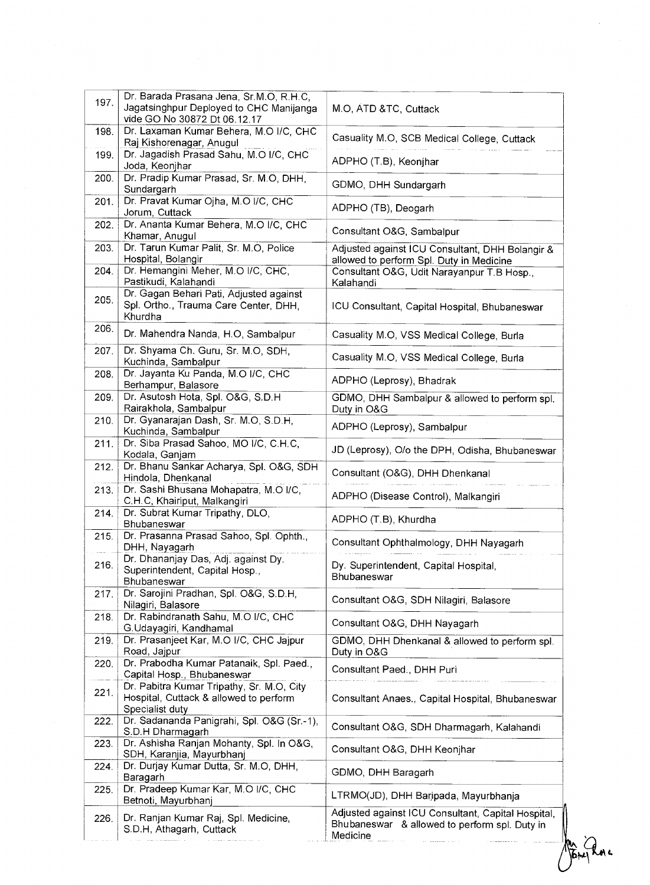| 197. | Dr. Barada Prasana Jena, Sr.M.O, R.H.C,<br>Jagatsinghpur Deployed to CHC Manijanga<br>vide GO No 30872 Dt 06.12.17 | M.O, ATD &TC, Cuttack                                                                                           |
|------|--------------------------------------------------------------------------------------------------------------------|-----------------------------------------------------------------------------------------------------------------|
| 198. | Dr. Laxaman Kumar Behera, M.O I/C, CHC<br>Raj Kishorenagar, Anugul                                                 | Casuality M.O, SCB Medical College, Cuttack                                                                     |
| 199. | Dr. Jagadish Prasad Sahu, M.O I/C, CHC<br>Joda, Keonjhar                                                           | ADPHO (T.B), Keonjhar                                                                                           |
| 200. | Dr. Pradip Kumar Prasad, Sr. M.O. DHH.<br>Sundargarh                                                               | GDMO, DHH Sundargarh                                                                                            |
| 201. | Dr. Pravat Kumar Ojha, M.O I/C, CHC<br>Jorum, Cuttack                                                              | ADPHO (TB), Deogarh                                                                                             |
| 202. | Dr. Ananta Kumar Behera, M.O I/C, CHC<br>Khamar, Anugul                                                            | Consultant O&G, Sambalpur                                                                                       |
| 203. | Dr. Tarun Kumar Palit, Sr. M.O, Police<br>Hospital, Bolangir                                                       | Adjusted against ICU Consultant, DHH Bolangir &<br>allowed to perform Spl. Duty in Medicine                     |
| 204. | Dr. Hemangini Meher, M.O I/C, CHC,<br>Pastikudi, Kalahandi                                                         | Consultant O&G, Udit Narayanpur T.B Hosp.,<br>Kalahandi                                                         |
| 205. | Dr. Gagan Behari Pati, Adjusted against<br>Spl. Ortho., Trauma Care Center, DHH,<br>Khurdha                        | ICU Consultant, Capital Hospital, Bhubaneswar                                                                   |
| 206. | Dr. Mahendra Nanda, H.O, Sambalpur                                                                                 | Casuality M.O, VSS Medical College, Burla                                                                       |
| 207. | Dr. Shyama Ch. Guru, Sr. M.O, SDH,<br>Kuchinda, Sambalpur                                                          | Casuality M.O, VSS Medical College, Burla                                                                       |
| 208. | Dr. Jayanta Ku Panda, M.O I/C, CHC<br>Berhampur, Balasore                                                          | ADPHO (Leprosy), Bhadrak                                                                                        |
| 209. | Dr. Asutosh Hota, Spl. O&G, S.D.H<br>Rairakhola, Sambalpur                                                         | GDMO, DHH Sambalpur & allowed to perform spl.<br>Duty in O&G                                                    |
| 210. | Dr. Gyanarajan Dash, Sr. M.O, S.D.H,<br>Kuchinda, Sambalpur                                                        | ADPHO (Leprosy), Sambalpur                                                                                      |
| 211. | Dr. Siba Prasad Sahoo, MO I/C, C.H.C,<br>Kodala, Ganjam                                                            | JD (Leprosy), O/o the DPH, Odisha, Bhubaneswar                                                                  |
| 212. | Dr. Bhanu Sankar Acharya, Spl. O&G, SDH<br>Hindola, Dhenkanal                                                      | Consultant (O&G), DHH Dhenkanal                                                                                 |
| 213. | Dr. Sashi Bhusana Mohapatra, M.O I/C,<br>C.H.C, Khairiput, Malkangiri                                              | ADPHO (Disease Control), Malkangiri                                                                             |
| 214. | Dr. Subrat Kumar Tripathy, DLO,<br>Bhubaneswar                                                                     | ADPHO (T.B), Khurdha                                                                                            |
| 215. | Dr. Prasanna Prasad Sahoo, Spl. Ophth.,<br>DHH, Nayagarh                                                           | Consultant Ophthalmology, DHH Nayagarh                                                                          |
| 216. | Dr. Dhananjay Das, Adj. against Dy.<br>Superintendent, Capital Hosp.,<br>Bhubaneswar                               | Dy. Superintendent, Capital Hospital,<br>Bhubaneswar                                                            |
| 217. | Dr. Sarojini Pradhan, Spl. O&G, S.D.H,<br>Nilagiri, Balasore                                                       | Consultant O&G, SDH Nilagiri, Balasore                                                                          |
| 218. | Dr. Rabindranath Sahu, M.O I/C, CHC<br>G.Udayagiri, Kandhamal                                                      | Consultant O&G, DHH Nayagarh                                                                                    |
| 219. | Dr. Prasanjeet Kar, M.O I/C, CHC Jajpur<br>Road, Jajpur                                                            | GDMO, DHH Dhenkanal & allowed to perform spl.<br>Duty in O&G                                                    |
| 220. | Dr. Prabodha Kumar Patanaik, Spl. Paed.,<br>Capital Hosp., Bhubaneswar                                             | Consultant Paed., DHH Puri                                                                                      |
| 221. | Dr. Pabitra Kumar Tripathy, Sr. M.O, City<br>Hospital, Cuttack & allowed to perform<br>Specialist duty             | Consultant Anaes., Capital Hospital, Bhubaneswar                                                                |
| 222. | Dr. Sadananda Panigrahi, Spl. O&G (Sr.-1),<br>S.D.H Dharmagarh                                                     | Consultant O&G, SDH Dharmagarh, Kalahandi                                                                       |
| 223. | Dr. Ashisha Ranjan Mohanty, Spl. In O&G,<br>SDH, Karanjia, Mayurbhanj                                              | Consultant O&G, DHH Keonjhar                                                                                    |
| 224. | Dr. Durjay Kumar Dutta, Sr. M.O, DHH,<br>Baragarh                                                                  | GDMO, DHH Baragarh                                                                                              |
| 225. | Dr. Pradeep Kumar Kar, M.O I/C, CHC<br>Betnoti, Mayurbhanj                                                         | LTRMO(JD), DHH Baripada, Mayurbhanja                                                                            |
| 226. | Dr. Ranjan Kumar Raj, Spl. Medicine,<br>S.D.H, Athagarh, Cuttack                                                   | Adjusted against ICU Consultant, Capital Hospital,<br>Bhubaneswar & allowed to perform spl. Duty in<br>Medicine |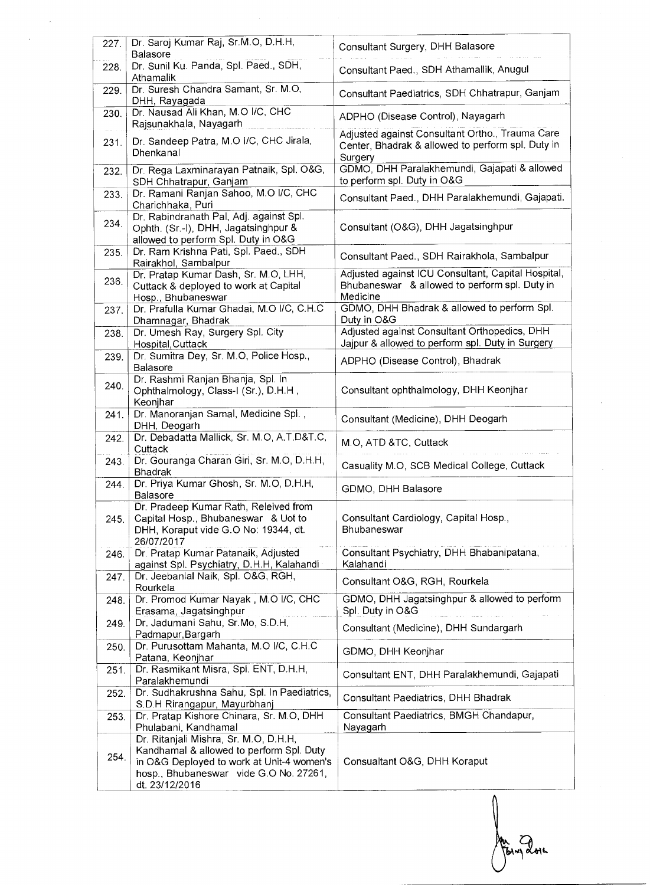| 227. | Dr. Saroj Kumar Raj, Sr.M.O, D.H.H,<br>Balasore                                                                                                                                            | Consultant Surgery, DHH Balasore                                                                                |
|------|--------------------------------------------------------------------------------------------------------------------------------------------------------------------------------------------|-----------------------------------------------------------------------------------------------------------------|
| 228. | Dr. Sunil Ku. Panda, Spl. Paed., SDH,<br>Athamalik                                                                                                                                         | Consultant Paed., SDH Athamallik, Anugul                                                                        |
| 229. | Dr. Suresh Chandra Samant, Sr. M.O,<br>DHH, Rayagada                                                                                                                                       | Consultant Paediatrics, SDH Chhatrapur, Ganjam                                                                  |
| 230. | Dr. Nausad Ali Khan, M.O I/C, CHC<br>Rajsunakhala, Nayagarh                                                                                                                                | ADPHO (Disease Control), Nayagarh                                                                               |
| 231. | Dr. Sandeep Patra, M.O I/C, CHC Jirala,<br>Dhenkanal                                                                                                                                       | Adjusted against Consultant Ortho., Trauma Care<br>Center, Bhadrak & allowed to perform spl. Duty in<br>Surgery |
| 232. | Dr. Rega Laxminarayan Patnaik, Spl. O&G,<br>SDH Chhatrapur, Ganjam                                                                                                                         | GDMO, DHH Paralakhemundi, Gajapati & allowed<br>to perform spl. Duty in O&G                                     |
| 233. | Dr. Ramani Ranjan Sahoo, M.O I/C, CHC<br>Charichhaka, Puri                                                                                                                                 | Consultant Paed., DHH Paralakhemundi, Gajapati.                                                                 |
| 234. | Dr. Rabindranath Pal, Adj. against Spl.<br>Ophth. (Sr.-I), DHH, Jagatsinghpur &<br>allowed to perform Spl. Duty in O&G                                                                     | Consultant (O&G), DHH Jagatsinghpur                                                                             |
| 235. | Dr. Ram Krishna Pati, Spl. Paed., SDH<br>Rairakhol, Sambalpur                                                                                                                              | Consultant Paed., SDH Rairakhola, Sambalpur                                                                     |
| 236. | Dr. Pratap Kumar Dash, Sr. M.O, LHH,<br>Cuttack & deployed to work at Capital<br>Hosp., Bhubaneswar                                                                                        | Adjusted against ICU Consultant, Capital Hospital,<br>Bhubaneswar & allowed to perform spl. Duty in<br>Medicine |
| 237. | Dr. Prafulla Kumar Ghadai, M.O I/C, C.H.C<br>Dhamnagar, Bhadrak                                                                                                                            | GDMO, DHH Bhadrak & allowed to perform Spl.<br>Duty in O&G                                                      |
| 238. | Dr. Umesh Ray, Surgery Spl. City<br>Hospital, Cuttack                                                                                                                                      | Adjusted against Consultant Orthopedics, DHH<br>Jajpur & allowed to perform spl. Duty in Surgery                |
| 239. | Dr. Sumitra Dey, Sr. M.O, Police Hosp.,<br><b>Balasore</b>                                                                                                                                 | ADPHO (Disease Control), Bhadrak                                                                                |
| 240. | Dr. Rashmi Ranjan Bhanja, Spl. In<br>Ophthalmology, Class-I (Sr.), D.H.H.,<br>Keonjhar                                                                                                     | Consultant ophthalmology, DHH Keonjhar                                                                          |
| 241. | Dr. Manoranjan Samal, Medicine Spl.,<br>DHH, Deogarh                                                                                                                                       | Consultant (Medicine), DHH Deogarh                                                                              |
| 242. | Dr. Debadatta Mallick, Sr. M.O, A.T.D&T.C,<br>Cuttack                                                                                                                                      | M.O, ATD &TC, Cuttack                                                                                           |
| 243. | Dr. Gouranga Charan Giri, Sr. M.O, D.H.H,<br><b>Bhadrak</b>                                                                                                                                | Casuality M.O, SCB Medical College, Cuttack                                                                     |
| 244. | Dr. Priya Kumar Ghosh, Sr. M.O, D.H.H,<br>Balasore                                                                                                                                         | GDMO, DHH Balasore                                                                                              |
| 245. | Dr. Pradeep Kumar Rath, Releived from<br>Capital Hosp., Bhubaneswar & Uot to<br>DHH, Koraput vide G.O No: 19344, dt.                                                                       | Consultant Cardiology, Capital Hosp.,<br>Bhubaneswar                                                            |
| 246. | 26/07/2017<br>Dr. Pratap Kumar Patanaik, Adjusted<br>against Spl. Psychiatry, D.H.H, Kalahandi                                                                                             | Consultant Psychiatry, DHH Bhabanipatana,<br>Kalahandi                                                          |
| 247. | Dr. Jeebanlal Naik, Spl. O&G, RGH,<br>Rourkela                                                                                                                                             | Consultant O&G, RGH, Rourkela                                                                                   |
| 248. | Dr. Promod Kumar Nayak, M.O I/C, CHC<br>Erasama, Jagatsinghpur                                                                                                                             | GDMO, DHH Jagatsinghpur & allowed to perform<br>Spl. Duty in O&G                                                |
| 249. | Dr. Jadumani Sahu, Sr.Mo, S.D.H,<br>Padmapur, Bargarh                                                                                                                                      | Consultant (Medicine), DHH Sundargarh                                                                           |
| 250. | Dr. Purusottam Mahanta, M.O I/C, C H.C<br>Patana, Keonjhar                                                                                                                                 | GDMO, DHH Keonjhar                                                                                              |
| 251. | Dr. Rasmikant Misra, Spl. ENT, D.H.H.<br>Paralakhemundi                                                                                                                                    | Consultant ENT, DHH Paralakhemundi, Gajapati                                                                    |
| 252. | Dr. Sudhakrushna Sahu, Spl. In Paediatrics,<br>S.D.H Rirangapur, Mayurbhanj                                                                                                                | Consultant Paediatrics, DHH Bhadrak                                                                             |
| 253. | Dr. Pratap Kishore Chinara, Sr. M.O, DHH<br>Phulabani, Kandhamal                                                                                                                           | Consultant Paediatrics, BMGH Chandapur,<br>Nayagarh                                                             |
| 254. | Dr. Ritanjali Mishra, Sr. M.O, D.H.H,<br>Kandhamal & allowed to perform Spl. Duty<br>in O&G Deployed to work at Unit-4 women's<br>hosp., Bhubaneswar vide G.O No. 27261,<br>dt. 23/12/2016 | Consualtant O&G, DHH Koraput                                                                                    |

 $\begin{matrix} \end{matrix}$ Au Gourdon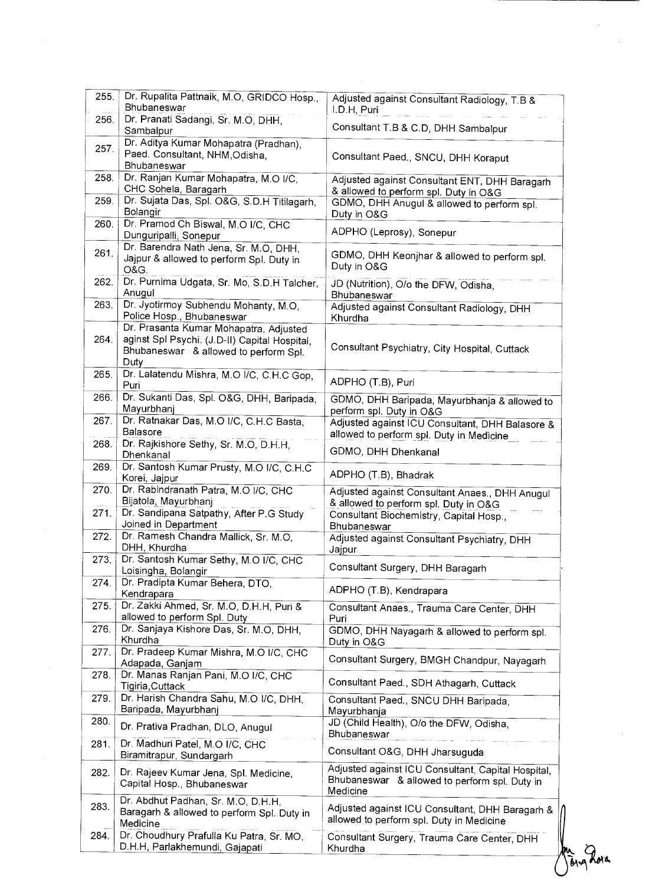| 255. | Dr. Rupalita Pattnaik, M.O, GRIDCO Hosp.,<br>Bhubaneswar                                       | Adjusted against Consultant Radiology, T.B &                                                |
|------|------------------------------------------------------------------------------------------------|---------------------------------------------------------------------------------------------|
| 256. | Dr. Pranati Sadangi, Sr. M.O. DHH,                                                             | I.D.H, Puri                                                                                 |
|      | Sambalpur                                                                                      | Consultant T.B & C.D, DHH Sambalpur                                                         |
| 257. | Dr. Aditya Kumar Mohapatra (Pradhan),<br>Paed. Consultant, NHM, Odisha,                        | Consultant Paed., SNCU, DHH Koraput                                                         |
|      | Bhubaneswar                                                                                    |                                                                                             |
| 258. | Dr. Ranjan Kumar Mohapatra, M.O I/C,<br>CHC Sohela, Baragarh                                   | Adjusted against Consultant ENT, DHH Baragarh                                               |
| 259. | Dr. Sujata Das, Spl. O&G, S.D.H Titilagarh,                                                    | & allowed to perform spl. Duty in O&G<br>GDMO, DHH Anugul & allowed to perform spl.         |
|      | Bolangir                                                                                       | Duty in O&G                                                                                 |
| 260. | Dr. Pramod Ch Biswal, M.O I/C, CHC<br>Dunguripalli, Sonepur                                    | ADPHO (Leprosy), Sonepur                                                                    |
| 261. | Dr. Barendra Nath Jena, Sr. M.O, DHH,<br>Jajpur & allowed to perform Spl. Duty in<br>O&G.      | GDMO, DHH Keonjhar & allowed to perform spl.<br>Duty in O&G                                 |
| 262. | Dr. Purnima Udgata, Sr. Mo, S.D.H Talcher,<br>Anugul                                           | JD (Nutrition), O/o the DFW, Odisha,<br>Bhubaneswar                                         |
| 263. | Dr. Jyotirmoy Subhendu Mohanty, M.O.                                                           | Adjusted against Consultant Radiology, DHH                                                  |
|      | Police Hosp., Bhubaneswar<br>Dr. Prasanta Kumar Mohapatra, Adjusted                            | Khurdha                                                                                     |
| 264. | aginst Spl Psychi. (J.D-II) Capital Hospital,<br>Bhubaneswar & allowed to perform Spl.<br>Duty | Consultant Psychiatry, City Hospital, Cuttack                                               |
| 265. | Dr. Lalatendu Mishra, M.O I/C, C.H.C Gop,<br>Puri                                              | ADPHO (T.B), Puri                                                                           |
| 266. | Dr. Sukanti Das, Spl. O&G, DHH, Baripada,<br>Mayurbhanj                                        | GDMO, DHH Baripada, Mayurbhanja & allowed to<br>perform spl. Duty in O&G                    |
| 267. | Dr. Ratnakar Das, M.O I/C, C.H.C Basta,<br>Balasore                                            | Adjusted against ICU Consultant, DHH Balasore &                                             |
| 268. | Dr. Rajkishore Sethy, Sr. M.O, D.H.H,                                                          | allowed to perform spl. Duty in Medicine<br>GDMO, DHH Dhenkanal                             |
| 269. | Dhenkanal<br>Dr. Santosh Kumar Prusty, M.O I/C, C.H.C                                          | ADPHO (T.B), Bhadrak                                                                        |
| 270. | Korei, Jajpur<br>Dr. Rabindranath Patra, M.O I/C, CHC                                          |                                                                                             |
|      | Bijatola, Mayurbhanj                                                                           | Adjusted against Consultant Anaes., DHH Anugul<br>& allowed to perform spl. Duty in O&G     |
| 271. | Dr. Sandipana Satpathy, After P.G Study<br>Joined in Department                                | Consultant Biochemistry, Capital Hosp.,<br>Bhubaneswar                                      |
| 272. | Dr. Ramesh Chandra Mallick, Sr. M.O.<br>DHH, Khurdha                                           | Adjusted against Consultant Psychiatry, DHH<br>Jajpur                                       |
| 273. | Dr. Santosh Kumar Sethy, M.O I/C, CHC<br>Loisingha, Bolangir                                   | Consultant Surgery, DHH Baragarh                                                            |
| 274. | Dr. Pradipta Kumar Behera, DTO,                                                                |                                                                                             |
|      | Kendrapara<br>Dr. Zakki Ahmed, Sr. M.O, D.H.H, Puri &                                          | ADPHO (T.B), Kendrapara                                                                     |
| 275. | allowed to perform Spl. Duty                                                                   | Consultant Anaes., Trauma Care Center, DHH<br>Puri                                          |
| 276. | Dr. Sanjaya Kishore Das, Sr. M.O, DHH,<br>Khurdha                                              | GDMO, DHH Nayagarh & allowed to perform spl.<br>Duty in O&G                                 |
| 277. | Dr. Pradeep Kumar Mishra, M.O I/C, CHC<br>Adapada, Ganjam                                      | Consultant Surgery, BMGH Chandpur, Nayagarh                                                 |
| 278. | Dr. Manas Ranjan Pani, M.O I/C, CHC<br>Tigiria, Cuttack                                        | Consultant Paed., SDH Athagarh, Cuttack                                                     |
| 279. | Dr. Harish Chandra Sahu, M.O I/C, DHH,<br>Baripada, Mayurbhanj                                 | Consultant Paed., SNCU DHH Baripada,<br>Mayurbhanja                                         |
| 280. | Dr. Prativa Pradhan, DLO, Anugul                                                               | JD (Child Health), O/o the DFW, Odisha,                                                     |
| 281. | Dr. Madhuri Patel, M.O I/C, CHC                                                                | Bhubaneswar<br>Consultant O&G, DHH Jharsuguda                                               |
|      | Biramitrapur, Sundargarh                                                                       | Adjusted against ICU Consultant, Capital Hospital,                                          |
| 282. | Dr. Rajeev Kumar Jena, Spl. Medicine,<br>Capital Hosp., Bhubaneswar                            | Bhubaneswar & allowed to perform spl. Duty in<br>Medicine                                   |
| 283. | Dr. Abdhut Padhan, Sr. M.O, D.H.H,                                                             |                                                                                             |
|      | Baragarh & allowed to perform Spl. Duty in                                                     | Adjusted against ICU Consultant, DHH Baragarh &<br>allowed to perform spl. Duty in Medicine |
| 284. | Medicine<br>Dr. Choudhury Prafulla Ku Patra, Sr. MO,                                           | Consultant Surgery, Trauma Care Center, DHH                                                 |
|      | D.H.H, Parlakhemundi, Gajapati                                                                 | Khurdha                                                                                     |
|      |                                                                                                | Jong Lora                                                                                   |

 $\frac{1}{2} \frac{1}{2} \frac{1}{2} \frac{1}{2}$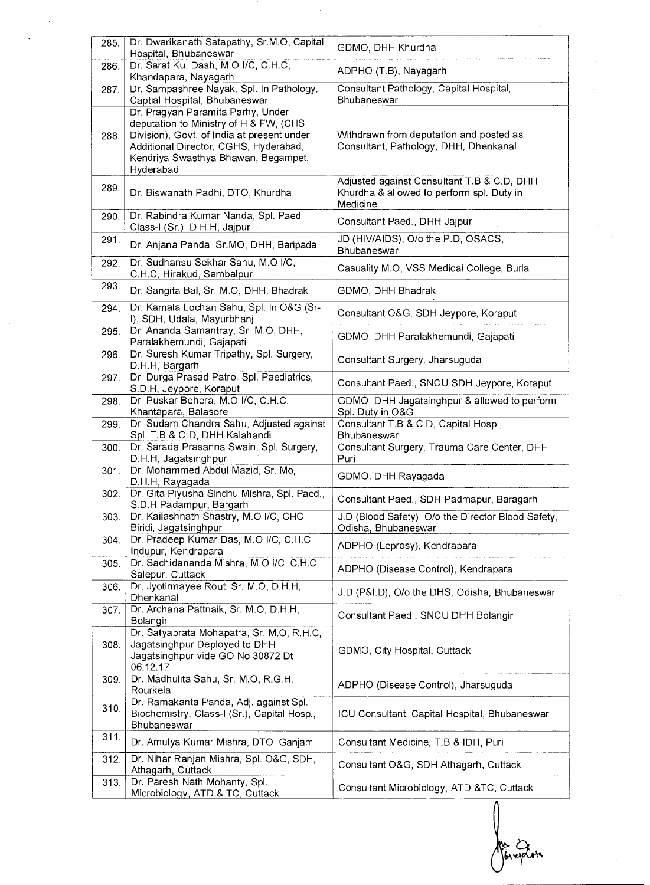| 285.         | Dr. Dwarikanath Satapathy, Sr.M.O, Capital<br>Hospital, Bhubaneswar                                                                                                                                                    | GDMO, DHH Khurdha                                                                                   |
|--------------|------------------------------------------------------------------------------------------------------------------------------------------------------------------------------------------------------------------------|-----------------------------------------------------------------------------------------------------|
| 286.         | Dr. Sarat Ku. Dash, M.O I/C, C.H.C,                                                                                                                                                                                    | ADPHO (T.B), Nayagarh                                                                               |
| 287.         | Khandapara, Nayagarh<br>Dr. Sampashree Nayak, Spl. In Pathology,<br>Captial Hospital, Bhubaneswar                                                                                                                      | Consultant Pathology, Capital Hospital,<br>Bhubaneswar                                              |
| 288.         | Dr. Pragyan Paramita Parhy, Under<br>deputation to Ministry of H & FW, (CHS<br>Division), Govt. of India at present under<br>Additional Director, CGHS, Hyderabad,<br>Kendriya Swasthya Bhawan, Begampet,<br>Hyderabad | Withdrawn from deputation and posted as<br>Consultant, Pathology, DHH, Dhenkanal                    |
| 289.         | Dr. Biswanath Padhi, DTO, Khurdha                                                                                                                                                                                      | Adjusted against Consultant T.B & C.D, DHH<br>Khurdha & allowed to perform spl. Duty in<br>Medicine |
| 290.         | Dr. Rabindra Kumar Nanda, Spl. Paed<br>Class-I (Sr.), D.H.H, Jajpur                                                                                                                                                    | Consultant Paed., DHH Jajpur                                                                        |
| 291.         | Dr. Anjana Panda, Sr.MO, DHH, Baripada                                                                                                                                                                                 | JD (HIV/AIDS), O/o the P.D, OSACS,<br>Bhubaneswar                                                   |
| 292.         | Dr. Sudhansu Sekhar Sahu, M.O I/C,<br>C.H.C, Hirakud, Sambalpur                                                                                                                                                        | Casuality M.O, VSS Medical College, Burla                                                           |
| 293.         | Dr. Sangita Bal, Sr. M.O, DHH, Bhadrak                                                                                                                                                                                 | GDMO, DHH Bhadrak                                                                                   |
| 294.         | Dr. Kamala Lochan Sahu, Spl. In O&G (Sr-<br>I), SDH, Udala, Mayurbhanj                                                                                                                                                 | Consultant O&G, SDH Jeypore, Koraput                                                                |
| 295.         | Dr. Ananda Samantray, Sr. M.O, DHH,<br>Paralakhemundi, Gajapati                                                                                                                                                        | GDMO, DHH Paralakhemundi, Gajapati                                                                  |
| 296.         | Dr. Suresh Kumar Tripathy, Spl. Surgery,<br>D.H.H, Bargarh                                                                                                                                                             | Consultant Surgery, Jharsuguda                                                                      |
| 297.         | Dr. Durga Prasad Patro, Spl. Paediatrics,<br>S.D.H, Jeypore, Koraput                                                                                                                                                   | Consultant Paed., SNCU SDH Jeypore, Koraput                                                         |
| 298.         | Dr. Puskar Behera, M.O I/C, C.H.C,<br>Khantapara, Balasore                                                                                                                                                             | GDMO, DHH Jagatsinghpur & allowed to perform<br>Spl. Duty in O&G                                    |
|              |                                                                                                                                                                                                                        |                                                                                                     |
| 299.         | Dr. Sudam Chandra Sahu, Adjusted against                                                                                                                                                                               | Consultant T.B & C.D, Capital Hosp.,                                                                |
| 300.         | Spl. T.B & C.D, DHH Kalahandi<br>Dr. Sarada Prasanna Swain, Spl. Surgery,                                                                                                                                              | Bhubaneswar<br>Consultant Surgery, Trauma Care Center, DHH                                          |
| 301.         | D.H.H, Jagatsinghpur<br>Dr. Mohammed Abdul Mazid, Sr. Mo,                                                                                                                                                              | Puri<br>GDMO, DHH Rayagada                                                                          |
| 302.         | D.H.H, Rayagada<br>Dr. Gita Piyusha Sindhu Mishra, Spl. Paed.,                                                                                                                                                         | Consultant Paed., SDH Padmapur, Baragarh                                                            |
| 303.         | S.D.H Padampur, Bargarh<br>Dr. Kailashnath Shastry, M.O I/C, CHC                                                                                                                                                       | J.D (Blood Safety), O/o the Director Blood Safety,                                                  |
| 304.         | Biridi, Jagatsinghpur<br>Dr. Pradeep Kumar Das, M.O I/C, C.H.C                                                                                                                                                         | Odisha, Bhubaneswar<br>ADPHO (Leprosy), Kendrapara                                                  |
| 305.         | Indupur, Kendrapara<br>Dr. Sachidananda Mishra, M.O I/C, C.H.C                                                                                                                                                         | ADPHO (Disease Control), Kendrapara                                                                 |
| 306.         | Salepur, Cuttack<br>Dr. Jyotirmayee Rout, Sr. M.O, D.H.H,<br>Dhenkanal                                                                                                                                                 | J.D (P&I.D), O/o the DHS, Odisha, Bhubaneswar                                                       |
| 307.         | Dr. Archana Pattnaik, Sr. M.O, D.H.H,                                                                                                                                                                                  | Consultant Paed., SNCU DHH Bolangir                                                                 |
| 308.         | Bolangir<br>Dr. Satyabrata Mohapatra, Sr. M.O, R.H.C,<br>Jagatsinghpur Deployed to DHH<br>Jagatsinghpur vide GO No 30872 Dt                                                                                            | GDMO, City Hospital, Cuttack                                                                        |
| 309.         | 06.12.17<br>Dr. Madhulita Sahu, Sr. M.O, R.G.H,<br>Rourkela                                                                                                                                                            | ADPHO (Disease Control), Jharsuguda                                                                 |
| 310.         | Dr. Ramakanta Panda, Adj. against Spl.<br>Biochemistry, Class-I (Sr.), Capital Hosp.,<br>Bhubaneswar                                                                                                                   | ICU Consultant, Capital Hospital, Bhubaneswar                                                       |
| 311.         | Dr. Amulya Kumar Mishra, DTO, Ganjam                                                                                                                                                                                   | Consultant Medicine, T.B & IDH, Puri                                                                |
| 312.<br>313. | Dr. Nihar Ranjan Mishra, Spl. O&G, SDH,<br>Athagarh, Cuttack<br>Dr. Paresh Nath Mohanty, Spl.                                                                                                                          | Consultant O&G, SDH Athagarh, Cuttack                                                               |

Jan 2014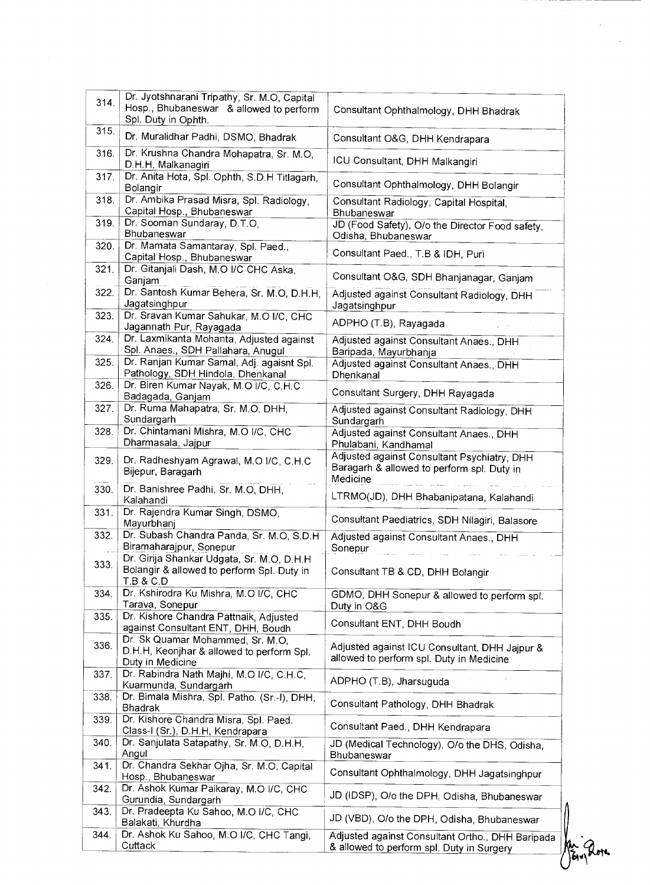| 314. | Dr. Jyotshnarani Tripathy, Sr. M.O, Capital<br>Hosp., Bhubaneswar & allowed to perform                               | Consultant Ophthalmology, DHH Bhadrak                                                                 |
|------|----------------------------------------------------------------------------------------------------------------------|-------------------------------------------------------------------------------------------------------|
| 315. | Spl. Duty in Ophth.<br>Dr. Muralidhar Padhi, DSMO, Bhadrak                                                           | Consultant O&G, DHH Kendrapara                                                                        |
| 316. | Dr. Krushna Chandra Mohapatra, Sr. M.O,                                                                              |                                                                                                       |
| 317. | D.H.H, Malkanagiri<br>Dr. Anita Hota, Spl. Ophth, S.D.H Titlagarh,                                                   | ICU Consultant, DHH Malkangiri                                                                        |
|      | Bolangir                                                                                                             | Consultant Ophthalmology, DHH Bolangir                                                                |
| 318. | Dr. Ambika Prasad Misra, Spl. Radiology,<br>Capital Hosp., Bhubaneswar                                               | Consultant Radiology, Capital Hospital,<br>Bhubaneswar                                                |
| 319. | Dr. Sooman Sundaray, D.T.O,<br>Bhubaneswar                                                                           | JD (Food Safety), O/o the Director Food safety,<br>Odisha, Bhubaneswar                                |
| 320. | Dr. Mamata Samantaray, Spl. Paed.,<br>Capital Hosp., Bhubaneswar                                                     | Consultant Paed., T.B & IDH, Puri                                                                     |
| 321. | Dr. Gitanjali Dash, M.O I/C CHC Aska,<br>Ganjam                                                                      | Consultant O&G, SDH Bhanjanagar, Ganjam                                                               |
| 322. | Dr. Santosh Kumar Behera, Sr. M.O, D.H.H,<br>Jagatsinghpur                                                           | Adjusted against Consultant Radiology, DHH<br>Jagatsinghpur                                           |
| 323. | Dr. Sravan Kumar Sahukar, M.O I/C, CHC<br>Jagannath Pur, Rayagada                                                    | ADPHO (T.B), Rayagada                                                                                 |
| 324. | Dr. Laxmikanta Mohanta, Adjusted against                                                                             | Adjusted against Consultant Anaes., DHH                                                               |
| 325. | Spl. Anaes., SDH Pallahara, Anugul<br>Dr. Ranjan Kumar Samal, Adj. agaisnt Spl.<br>Pathology, SDH Hindola, Dhenkanal | Baripada, Mayurbhanja<br>Adjusted against Consultant Anaes., DHH<br>Dhenkanal                         |
| 326. | Dr. Biren Kumar Nayak, M.O I/C, C.H.C<br>Badagada, Ganjam                                                            | Consultant Surgery, DHH Rayagada                                                                      |
| 327. | Dr. Ruma Mahapatra, Sr. M.O. DHH.<br>Sundargarh                                                                      | Adjusted against Consultant Radiology, DHH<br>Sundargarh                                              |
| 328. | Dr. Chintamani Mishra, M.O I/C, CHC<br>Dharmasala, Jajpur                                                            | Adjusted against Consultant Anaes., DHH<br>Phulabani, Kandhamal                                       |
| 329. | Dr. Radheshyam Agrawal, M.O I/C, C.H.C<br>Bijepur, Baragarh                                                          | Adjusted against Consultant Psychiatry, DHH<br>Baragarh & allowed to perform spl. Duty in<br>Medicine |
| 330. | Dr. Banishree Padhi, Sr. M.O, DHH,<br>Kalahandi                                                                      | LTRMO(JD), DHH Bhabanipatana, Kalahandi                                                               |
| 331. | Dr. Rajendra Kumar Singh, DSMO,<br>Mayurbhanj                                                                        | Consultant Paediatrics, SDH Nilagiri, Balasore                                                        |
| 332. | Dr. Subash Chandra Panda, Sr. M.O. S.D.H.<br>Biramaharajpur, Sonepur                                                 | Adjusted against Consultant Anaes., DHH<br>Sonepur                                                    |
| 333. | Dr. Girija Shankar Udgata, Sr. M.O, D.H.H<br>Bolangir & allowed to perform Spl. Duty in<br>T.B & C.D                 | Consultant TB & CD, DHH Bolangir                                                                      |
| 334. | Dr. Kshirodra Ku Mishra, M.O I/C, CHC<br>Tarava, Sonepur                                                             | GDMO, DHH Sonepur & allowed to perform spl.<br>Duty in O&G                                            |
| 335. | Dr. Kishore Chandra Pattnaik, Adjusted<br>against Consultant ENT, DHH, Boudh                                         | Consultant ENT, DHH Boudh                                                                             |
| 336. | Dr. Sk Quamar Mohammed, Sr. M.O,<br>D.H.H, Keonjhar & allowed to perform Spl.<br>Duty in Medicine                    | Adjusted against ICU Consultant, DHH Jajpur &<br>allowed to perform spl. Duty in Medicine             |
| 337. | Dr. Rabindra Nath Majhi, M.O I/C, C.H.C.<br>Kuarmunda, Sundargarh                                                    | ADPHO (T.B), Jharsuguda                                                                               |
| 338. | Dr. Bimala Mishra, Spl. Patho. (Sr.-I), DHH,<br>Bhadrak                                                              | Consultant Pathology, DHH Bhadrak                                                                     |
| 339. | Dr. Kishore Chandra Misra, Spl. Paed.<br>Class-I (Sr.), D.H.H, Kendrapara                                            | Consultant Paed., DHH Kendrapara                                                                      |
| 340. | Dr. Sanjulata Satapathy, Sr. M.O, D.H.H,<br>Angul                                                                    | JD (Medical Technology), O/o the DHS, Odisha,<br>Bhubaneswar                                          |
| 341. | Dr. Chandra Sekhar Ojha, Sr. M.O. Capital<br>Hosp., Bhubaneswar                                                      | Consultant Ophthalmology, DHH Jagatsinghpur                                                           |
| 342. | Dr. Ashok Kumar Paikaray, M.O I/C, CHC<br>Gurundia, Sundargarh                                                       | JD (IDSP), O/o the DPH, Odisha, Bhubaneswar                                                           |
| 343. | Dr. Pradeepta Ku Sahoo, M.O I/C, CHC<br>Balakati, Khurdha                                                            | JD (VBD), O/o the DPH, Odisha, Bhubaneswar                                                            |
| 344. | Dr. Ashok Ku Sahoo, M.O I/C, CHC Tangi,                                                                              | Adjusted against Consultant Ortho., DHH Baripada                                                      |

 $\ddot{\phantom{0}}$ 

 $\hat{\boldsymbol{\cdot}$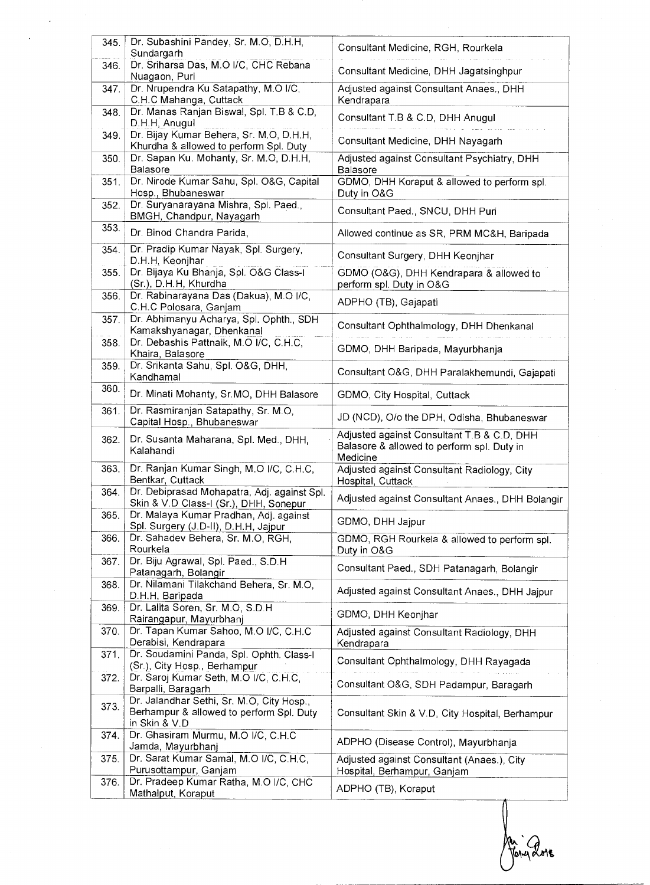| 345. | Dr. Subashini Pandey, Sr. M.O, D.H.H,<br>Sundargarh                                   | Consultant Medicine, RGH, Rourkela                                                                   |
|------|---------------------------------------------------------------------------------------|------------------------------------------------------------------------------------------------------|
| 346. | Dr. Sriharsa Das, M.O I/C, CHC Rebana                                                 | Consultant Medicine, DHH Jagatsinghpur                                                               |
|      | Nuagaon, Puri                                                                         |                                                                                                      |
| 347. | Dr. Nrupendra Ku Satapathy, M.O I/C,<br>C.H.C Mahanga, Cuttack                        | Adjusted against Consultant Anaes., DHH<br>Kendrapara                                                |
| 348. | Dr. Manas Ranjan Biswal, Spl. T.B & C.D,<br>D.H.H, Anugul                             | Consultant T.B & C.D, DHH Anugul                                                                     |
| 349. | Dr. Bijay Kumar Behera, Sr. M.O, D.H.H,<br>Khurdha & allowed to perform Spl. Duty     | Consultant Medicine, DHH Nayagarh                                                                    |
| 350. | Dr. Sapan Ku. Mohanty, Sr. M.O, D.H.H,<br>Balasore                                    | Adjusted against Consultant Psychiatry, DHH<br><b>Balasore</b>                                       |
| 351. | Dr. Nirode Kumar Sahu, Spl. O&G, Capital<br>Hosp., Bhubaneswar                        | GDMO, DHH Koraput & allowed to perform spl.<br>Duty in O&G                                           |
| 352. | Dr. Suryanarayana Mishra, Spl. Paed.,<br>BMGH, Chandpur, Nayagarh                     | Consultant Paed., SNCU, DHH Puri                                                                     |
| 353. | Dr. Binod Chandra Parida,                                                             | Allowed continue as SR, PRM MC&H, Baripada                                                           |
| 354. | Dr. Pradip Kumar Nayak, Spl. Surgery,<br>D.H.H, Keonjhar                              | Consultant Surgery, DHH Keonjhar                                                                     |
| 355. | Dr. Bijaya Ku Bhanja, Spl. O&G Class-I<br>(Sr.), D.H.H, Khurdha                       | GDMO (O&G), DHH Kendrapara & allowed to<br>perform spl. Duty in O&G                                  |
| 356. | Dr. Rabinarayana Das (Dakua), M.O I/C,<br>C.H.C Polosara, Ganjam                      | ADPHO (TB), Gajapati                                                                                 |
| 357. | Dr. Abhimanyu Acharya, Spl. Ophth., SDH<br>Kamakshyanagar, Dhenkanal                  | Consultant Ophthalmology, DHH Dhenkanal                                                              |
| 358. | Dr. Debashis Pattnaik, M.O I/C, C.H.C,<br>Khaira, Balasore                            | GDMO, DHH Baripada, Mayurbhanja                                                                      |
| 359. | Dr. Srikanta Sahu, Spl. O&G, DHH,<br>Kandhamal                                        | Consultant O&G, DHH Paralakhemundi, Gajapati                                                         |
| 360. | Dr. Minati Mohanty, Sr.MO, DHH Balasore                                               | GDMO, City Hospital, Cuttack                                                                         |
| 361. | Dr. Rasmiranjan Satapathy, Sr. M.O,<br>Capital Hosp., Bhubaneswar                     | JD (NCD), O/o the DPH, Odisha, Bhubaneswar                                                           |
| 362. | Dr. Susanta Maharana, Spl. Med., DHH,<br>Kalahandi                                    | Adjusted against Consultant T.B & C.D, DHH<br>Balasore & allowed to perform spl. Duty in<br>Medicine |
| 363. | Dr. Ranjan Kumar Singh, M.O I/C, C.H.C,<br>Bentkar, Cuttack                           | Adjusted against Consultant Radiology, City<br>Hospital, Cuttack                                     |
| 364. | Dr. Debiprasad Mohapatra, Adj. against Spl.<br>Skin & V.D Class-I (Sr.), DHH, Sonepur | Adjusted against Consultant Anaes., DHH Bolangir                                                     |
| 365. | Dr. Malaya Kumar Pradhan, Adj. against<br>Spl. Surgery (J.D-II), D.H.H, Jajpur        | GDMO, DHH Jajpur                                                                                     |
| 366. | Dr. Sahadev Behera, Sr. M.O, RGH,<br>Rourkela                                         | GDMO, RGH Rourkela & allowed to perform spl.<br>Duty in O&G                                          |
| 367. | Dr. Biju Agrawal, Spl. Paed., S.D.H.<br>Patanagarh, Bolangir                          | Consultant Paed., SDH Patanagarh, Bolangir                                                           |
| 368. | Dr. Nilamani Tilakchand Behera, Sr. M.O,<br>D.H.H, Baripada                           | Adjusted against Consultant Anaes., DHH Jajpur                                                       |
| 369. | Dr. Lalita Soren, Sr. M.O. S.D.H.<br>Rairangapur, Mayurbhanj                          | GDMO, DHH Keonjhar                                                                                   |
| 370. | Dr. Tapan Kumar Sahoo, M.O I/C, C.H.C<br>Derabisi, Kendrapara                         | Adjusted against Consultant Radiology, DHH<br>Kendrapara                                             |
| 371. | Dr. Soudamini Panda, Spl. Ophth. Class-I<br>(Sr.), City Hosp., Berhampur              | Consultant Ophthalmology, DHH Rayagada                                                               |
| 372. | Dr. Saroj Kumar Seth, M.O I/C, C.H.C,<br>Barpalli, Baragarh                           | Consultant O&G, SDH Padampur, Baragarh                                                               |
| 373. | Dr. Jalandhar Sethi, Sr. M.O, City Hosp.,                                             |                                                                                                      |
|      | Berhampur & allowed to perform Spl. Duty<br>in Skin & V.D                             | Consultant Skin & V.D, City Hospital, Berhampur                                                      |
| 374. | Dr. Ghasiram Murmu, M.O I/C, C.H.C                                                    | ADPHO (Disease Control), Mayurbhanja                                                                 |
| 375. | Jamda, Mayurbhanj<br>Dr. Sarat Kumar Samal, M.O I/C, C.H.C,<br>Purusottampur, Ganjam  | Adjusted against Consultant (Anaes.), City<br>Hospital, Berhampur, Ganjam                            |

An : Que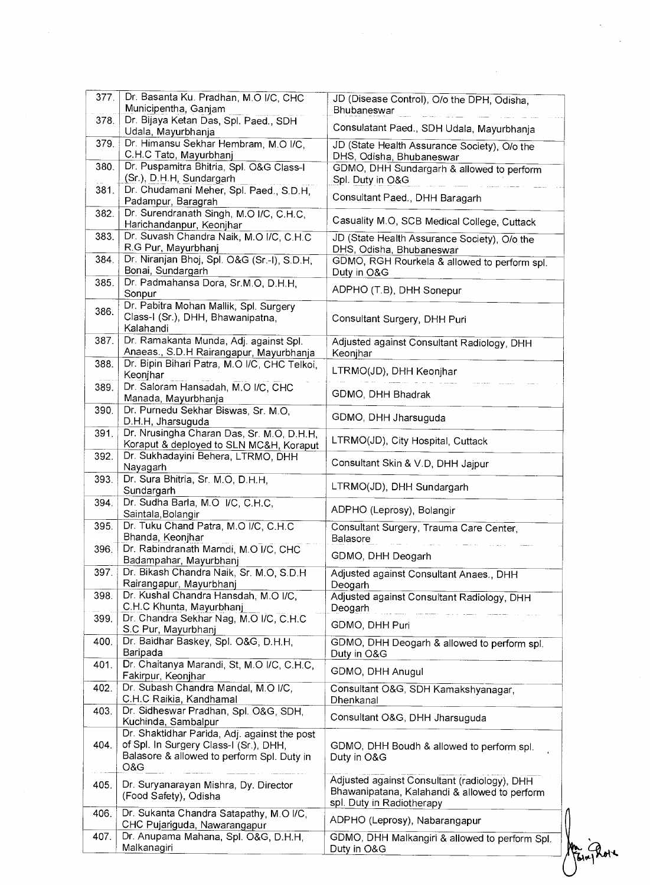| 377. | Dr. Basanta Ku. Pradhan, M.O I/C, CHC                                                                                                       | JD (Disease Control), O/o the DPH, Odisha,                                                                                 |  |
|------|---------------------------------------------------------------------------------------------------------------------------------------------|----------------------------------------------------------------------------------------------------------------------------|--|
| 378. | Municipentha, Ganjam<br>Dr. Bijaya Ketan Das, Spl. Paed., SDH                                                                               | Bhubaneswar                                                                                                                |  |
|      | Udala, Mayurbhanja                                                                                                                          | Consulatant Paed., SDH Udala, Mayurbhanja                                                                                  |  |
| 379. | Dr. Himansu Sekhar Hembram, M.O I/C,<br>C.H.C Tato, Mayurbhanj                                                                              | JD (State Health Assurance Society), O/o the<br>DHS, Odisha, Bhubaneswar                                                   |  |
| 380. | Dr. Puspamitra Bhitria, Spl. O&G Class-I<br>(Sr.), D.H.H, Sundargarh                                                                        | GDMO, DHH Sundargarh & allowed to perform<br>Spl. Duty in O&G                                                              |  |
| 381. | Dr. Chudamani Meher, Spl. Paed., S.D.H,<br>Padampur, Baragrah                                                                               | Consultant Paed., DHH Baragarh                                                                                             |  |
| 382. | Dr. Surendranath Singh, M.O I/C, C.H.C,                                                                                                     | Casuality M.O, SCB Medical College, Cuttack                                                                                |  |
| 383. | Harichandanpur, Keonjhar<br>Dr. Suvash Chandra Naik, M.O I/C, C.H.C                                                                         | JD (State Health Assurance Society), O/o the                                                                               |  |
| 384. | R.G Pur, Mayurbhanj<br>Dr. Niranjan Bhoj, Spl. O&G (Sr.-I), S.D.H.                                                                          | DHS, Odisha, Bhubaneswar<br>GDMO, RGH Rourkela & allowed to perform spl.                                                   |  |
| 385. | Bonai, Sundargarh<br>Dr. Padmahansa Dora, Sr.M.O, D.H.H.                                                                                    | Duty in O&G                                                                                                                |  |
|      | Sonpur<br>Dr. Pabitra Mohan Mallik, Spl. Surgery                                                                                            | ADPHO (T.B), DHH Sonepur                                                                                                   |  |
| 386. | Class-I (Sr.), DHH, Bhawanipatna,<br>Kalahandi                                                                                              | Consultant Surgery, DHH Puri                                                                                               |  |
| 387. | Dr. Ramakanta Munda, Adj. against Spl.<br>Anaeas., S.D.H Rairangapur, Mayurbhanja                                                           | Adjusted against Consultant Radiology, DHH<br>Keonjhar                                                                     |  |
| 388. | Dr. Bipin Bihari Patra, M.O I/C, CHC Telkoi,<br>Keonjhar                                                                                    | LTRMO(JD), DHH Keonjhar                                                                                                    |  |
| 389. | Dr. Saloram Hansadah, M.O I/C, CHC<br>Manada, Mayurbhanja                                                                                   | GDMO, DHH Bhadrak                                                                                                          |  |
| 390. | Dr. Purnedu Sekhar Biswas, Sr. M.O.<br>D.H.H, Jharsuguda                                                                                    | GDMO, DHH Jharsuguda                                                                                                       |  |
| 391. | Dr. Nrusingha Charan Das, Sr. M.O. D.H.H.<br>Koraput & deployed to SLN MC&H, Koraput                                                        | LTRMO(JD), City Hospital, Cuttack                                                                                          |  |
| 392. | Dr. Sukhadayini Behera, LTRMO, DHH<br>Nayagarh                                                                                              | Consultant Skin & V.D, DHH Jajpur                                                                                          |  |
| 393. | Dr. Sura Bhitria, Sr. M.O, D.H.H.<br>Sundargarh                                                                                             | LTRMO(JD), DHH Sundargarh                                                                                                  |  |
| 394. | Dr. Sudha Barla, M.O I/C, C.H.C,<br>Saintala, Bolangir                                                                                      | ADPHO (Leprosy), Bolangir                                                                                                  |  |
| 395. | Dr. Tuku Chand Patra, M.O I/C, C.H.C.<br>Bhanda, Keonjhar                                                                                   | Consultant Surgery, Trauma Care Center,<br>Balasore                                                                        |  |
| 396. | Dr. Rabindranath Marndi, M.O I/C, CHC<br>Badampahar, Mayurbhanj                                                                             | GDMO, DHH Deogarh                                                                                                          |  |
| 397. | Dr. Bikash Chandra Naik, Sr. M.O, S.D.H                                                                                                     | Adjusted against Consultant Anaes., DHH                                                                                    |  |
|      | Rairangapur, Mayurbhanj                                                                                                                     | Deogarh                                                                                                                    |  |
| 398. | Dr. Kushal Chandra Hansdah, M.O I/C,<br>C.H.C Khunta, Mayurbhanj                                                                            | Adjusted against Consultant Radiology, DHH<br>Deogarh                                                                      |  |
| 399. | Dr. Chandra Sekhar Nag, M.O I/C, C.H.C<br>S.C Pur, Mayurbhanj                                                                               | GDMO, DHH Puri                                                                                                             |  |
| 400. | Dr. Baidhar Baskey, Spl. O&G, D.H.H.<br>Baripada                                                                                            | GDMO, DHH Deogarh & allowed to perform spl.<br>Duty in O&G                                                                 |  |
| 401. | Dr. Chaitanya Marandi, St, M.O I/C, C.H.C,<br>Fakirpur, Keonjhar                                                                            | GDMO, DHH Anugul                                                                                                           |  |
| 402. | Dr. Subash Chandra Mandal, M.O I/C.<br>C.H.C Raikia, Kandhamal                                                                              | Consultant O&G, SDH Kamakshyanagar,<br>Dhenkanal                                                                           |  |
| 403. | Dr. Sidheswar Pradhan, Spl. O&G, SDH,<br>Kuchinda, Sambalpur                                                                                | Consultant O&G, DHH Jharsuguda                                                                                             |  |
| 404. | Dr. Shaktidhar Parida, Adj. against the post<br>of Spl. In Surgery Class-I (Sr.), DHH,<br>Balasore & allowed to perform Spl. Duty in<br>O&G | GDMO, DHH Boudh & allowed to perform spl.<br>Duty in O&G                                                                   |  |
| 405. | Dr. Suryanarayan Mishra, Dy. Director<br>(Food Safety), Odisha                                                                              | Adjusted against Consultant (radiology), DHH<br>Bhawanipatana, Kalahandi & allowed to perform<br>spl. Duty in Radiotherapy |  |
| 406. | Dr. Sukanta Chandra Satapathy, M.O I/C,<br>CHC Pujariguda, Nawarangapur                                                                     | ADPHO (Leprosy), Nabarangapur                                                                                              |  |
| 407. | Dr. Anupama Mahana, Spl. O&G, D.H.H,<br>Malkanagiri                                                                                         | GDMO, DHH Malkangiri & allowed to perform Spl.<br>Duty in O&G                                                              |  |
|      |                                                                                                                                             |                                                                                                                            |  |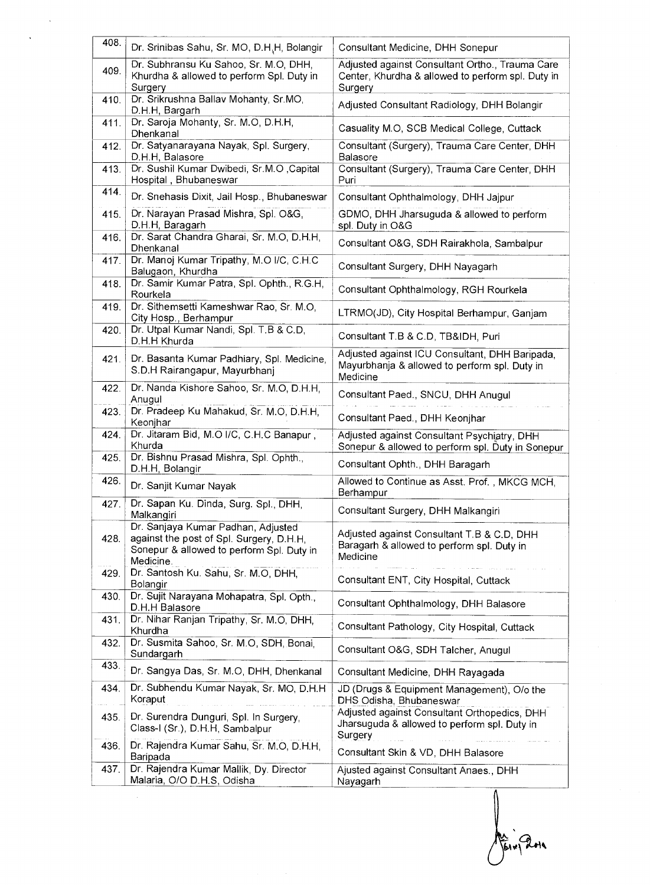| 408. | Dr. Srinibas Sahu, Sr. MO, D.H.H, Bolangir                                                                                               | Consultant Medicine, DHH Sonepur                                                                                |
|------|------------------------------------------------------------------------------------------------------------------------------------------|-----------------------------------------------------------------------------------------------------------------|
| 409. | Dr. Subhransu Ku Sahoo, Sr. M.O, DHH,<br>Khurdha & allowed to perform Spl. Duty in<br>Surgery                                            | Adjusted against Consultant Ortho., Trauma Care<br>Center, Khurdha & allowed to perform spl. Duty in<br>Surgery |
| 410. | Dr. Srikrushna Ballav Mohanty, Sr.MO,<br>D.H.H, Bargarh                                                                                  | Adjusted Consultant Radiology, DHH Bolangir                                                                     |
| 411. | Dr. Saroja Mohanty, Sr. M.O, D.H.H,<br>Dhenkanal                                                                                         | Casuality M.O, SCB Medical College, Cuttack                                                                     |
| 412. | Dr. Satyanarayana Nayak, Spl. Surgery,<br>D.H.H, Balasore                                                                                | Consultant (Surgery), Trauma Care Center, DHH<br>Balasore                                                       |
| 413. | Dr. Sushil Kumar Dwibedi, Sr.M.O , Capital<br>Hospital, Bhubaneswar                                                                      | Consultant (Surgery), Trauma Care Center, DHH<br>Puri                                                           |
| 414. | Dr. Snehasis Dixit, Jail Hosp., Bhubaneswar                                                                                              | Consultant Ophthalmology, DHH Jajpur                                                                            |
| 415. | Dr. Narayan Prasad Mishra, Spl. O&G,<br>D.H.H, Baragarh                                                                                  | GDMO, DHH Jharsuguda & allowed to perform<br>spl. Duty in O&G                                                   |
| 416. | Dr. Sarat Chandra Gharai, Sr. M.O, D.H.H,<br>Dhenkanal                                                                                   | Consultant O&G, SDH Rairakhola, Sambalpur                                                                       |
| 417. | Dr. Manoj Kumar Tripathy, M.O I/C, C.H.C<br>Balugaon, Khurdha                                                                            | Consultant Surgery, DHH Nayagarh                                                                                |
| 418. | Dr. Samir Kumar Patra, Spl. Ophth., R.G.H.<br>Rourkela                                                                                   | Consultant Ophthalmology, RGH Rourkela                                                                          |
| 419. | Dr. Sithemsetti Kameshwar Rao, Sr. M.O,<br>City Hosp., Berhampur                                                                         | LTRMO(JD), City Hospital Berhampur, Ganjam                                                                      |
| 420. | Dr. Utpal Kumar Nandi, Spl. T.B & C.D,<br>D.H.H Khurda                                                                                   | Consultant T.B & C.D, TB&IDH, Puri                                                                              |
| 421. | Dr. Basanta Kumar Padhiary, Spl. Medicine,<br>S.D.H Rairangapur, Mayurbhanj                                                              | Adjusted against ICU Consultant, DHH Baripada,<br>Mayurbhanja & allowed to perform spl. Duty in<br>Medicine     |
| 422. | Dr. Nanda Kishore Sahoo, Sr. M.O, D.H.H,<br>Anugul                                                                                       | Consultant Paed., SNCU, DHH Anugul                                                                              |
| 423. | Dr. Pradeep Ku Mahakud, Sr. M.O, D.H.H,<br>Keonjhar                                                                                      | Consultant Paed., DHH Keonjhar                                                                                  |
| 424. | Dr. Jitaram Bid, M.O I/C, C.H.C Banapur,<br>Khurda                                                                                       | Adjusted against Consultant Psychiatry, DHH<br>Sonepur & allowed to perform spl. Duty in Sonepur                |
| 425. | Dr. Bishnu Prasad Mishra, Spl. Ophth.,<br>D.H.H, Bolangir                                                                                | Consultant Ophth., DHH Baragarh                                                                                 |
| 426. | Dr. Sanjit Kumar Nayak                                                                                                                   | Allowed to Continue as Asst. Prof., MKCG MCH,<br>Berhampur                                                      |
| 427. | Dr. Sapan Ku. Dinda, Surg. Spl., DHH,<br>Malkangiri                                                                                      | Consultant Surgery, DHH Malkangiri                                                                              |
| 428. | Dr. Sanjaya Kumar Padhan, Adjusted<br>against the post of Spl. Surgery, D.H.H.<br>Sonepur & allowed to perform Spl. Duty in<br>Medicine. | Adjusted against Consultant T.B & C.D, DHH<br>Baragarh & allowed to perform spl. Duty in<br>Medicine            |
| 429. | Dr. Santosh Ku. Sahu, Sr. M.O, DHH,<br>Bolangir                                                                                          | Consultant ENT, City Hospital, Cuttack                                                                          |
| 430. | Dr. Sujit Narayana Mohapatra, Spl. Opth.,<br>D.H.H Balasore                                                                              | Consultant Ophthalmology, DHH Balasore                                                                          |
| 431. | Dr. Nihar Ranjan Tripathy, Sr. M.O. DHH,<br>Khurdha                                                                                      | Consultant Pathology, City Hospital, Cuttack                                                                    |
| 432. | Dr. Susmita Sahoo, Sr. M.O, SDH, Bonai,<br>Sundargarh                                                                                    | Consultant O&G, SDH Talcher, Anugul                                                                             |
| 433. | Dr. Sangya Das, Sr. M.O, DHH, Dhenkanal                                                                                                  | Consultant Medicine, DHH Rayagada                                                                               |
| 434. | Dr. Subhendu Kumar Nayak, Sr. MO, D.H.H<br>Koraput                                                                                       | JD (Drugs & Equipment Management), O/o the<br>DHS Odisha, Bhubaneswar                                           |
| 435. | Dr. Surendra Dunguri, Spl. In Surgery,<br>Class-I (Sr.), D.H.H, Sambalpur                                                                | Adjusted against Consultant Orthopedics, DHH<br>Jharsuguda & allowed to perform spl. Duty in<br>Surgery         |
| 436. | Dr. Rajendra Kumar Sahu, Sr. M.O, D.H.H,<br>Baripada                                                                                     | Consultant Skin & VD, DHH Balasore                                                                              |
| 437. | Dr. Rajendra Kumar Mallik, Dy. Director<br>Malaria, O/O D.H.S, Odisha                                                                    | Ajusted against Consultant Anaes., DHH<br>Nayagarh                                                              |

 $\sqrt{\frac{1}{2}}$ Arigan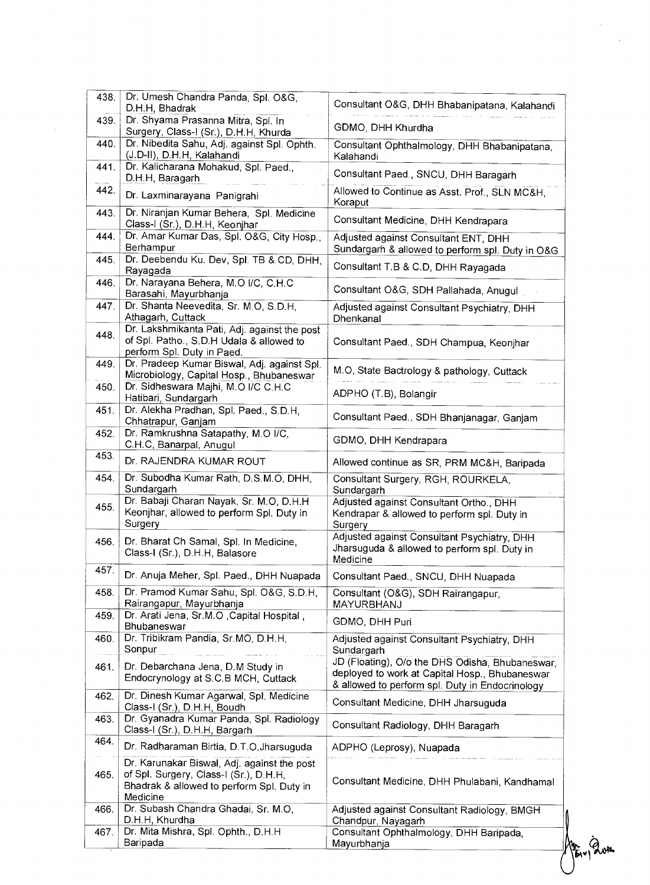| 438. | Dr. Umesh Chandra Panda, Spl. O&G,<br>D.H.H, Bhadrak                                                     | Consultant O&G, DHH Bhabanipatana, Kalahandi                                                      |
|------|----------------------------------------------------------------------------------------------------------|---------------------------------------------------------------------------------------------------|
| 439. | Dr. Shyama Prasanna Mitra, Spl. In                                                                       |                                                                                                   |
|      | Surgery, Class-I (Sr.), D.H.H, Khurda                                                                    | GDMO, DHH Khurdha                                                                                 |
| 440. | Dr. Nibedita Sahu, Adj. against Spl. Ophth.<br>(J.D-II), D.H.H, Kalahandi                                | Consultant Ophthalmology, DHH Bhabanipatana,<br>Kalahandi                                         |
| 441. | Dr. Kalicharana Mohakud, Spl. Paed.,<br>D.H.H, Baragarh                                                  | Consultant Paed., SNCU, DHH Baragarh                                                              |
| 442. | Dr. Laxminarayana Panigrahi                                                                              | Allowed to Continue as Asst. Prof., SLN MC&H,<br>Koraput                                          |
| 443. | Dr. Niranjan Kumar Behera, Spl. Medicine<br>Class-I (Sr.), D.H.H, Keonjhar                               | Consultant Medicine, DHH Kendrapara                                                               |
| 444. | Dr. Amar Kumar Das, Spl. O&G, City Hosp.,<br>Berhampur                                                   | Adjusted against Consultant ENT, DHH<br>Sundargarh & allowed to perform spl. Duty in O&G          |
| 445. | Dr. Deebendu Ku. Dev, Spl. TB & CD, DHH,<br>Rayagada                                                     | Consultant T.B & C.D, DHH Rayagada                                                                |
| 446. | Dr. Narayana Behera, M.O I/C, C.H.C<br>Barasahi, Mayurbhanja                                             | Consultant O&G, SDH Pallahada, Anugul                                                             |
| 447. | Dr. Shanta Neevedita, Sr. M.O, S.D.H,                                                                    | Adjusted against Consultant Psychiatry, DHH                                                       |
|      | Athagarh, Cuttack                                                                                        | Dhenkanal                                                                                         |
| 448. | Dr. Lakshmikanta Pati, Adj. against the post<br>of Spl. Patho., S.D.H Udala & allowed to                 | Consultant Paed., SDH Champua, Keonjhar                                                           |
|      | perform Spl. Duty in Paed.                                                                               |                                                                                                   |
| 449. | Dr. Pradeep Kumar Biswal, Adj. against Spl.<br>Microbiology, Capital Hosp., Bhubaneswar                  | M.O, State Bactrology & pathology, Cuttack                                                        |
| 450. | Dr. Sidheswara Majhi, M.O I/C C.H.C<br>Hatibari, Sundargarh                                              | ADPHO (T.B), Bolangir                                                                             |
| 451. | Dr. Alekha Pradhan, Spl. Paed., S.D.H,<br>Chhatrapur, Ganjam                                             | Consultant Paed., SDH Bhanjanagar, Ganjam                                                         |
| 452. | Dr. Ramkrushna Satapathy, M.O I/C,<br>C.H.C, Banarpal, Anugul                                            | GDMO, DHH Kendrapara                                                                              |
| 453. | Dr. RAJENDRA KUMAR ROUT                                                                                  | Allowed continue as SR, PRM MC&H, Baripada                                                        |
| 454. | Dr. Subodha Kumar Rath, D.S.M.O, DHH,                                                                    | Consultant Surgery, RGH, ROURKELA,                                                                |
|      | Sundargarh                                                                                               | Sundargarh                                                                                        |
| 455. | Dr. Babaji Charan Nayak, Sr. M.O. D.H.H.                                                                 | Adjusted against Consultant Ortho., DHH                                                           |
|      | Keonjhar, allowed to perform Spl. Duty in<br>Surgery                                                     | Kendrapar & allowed to perform spl. Duty in<br>Surgery                                            |
| 456. | Dr. Bharat Ch Samal, Spl. In Medicine,                                                                   | Adjusted against Consultant Psychiatry, DHH                                                       |
|      | Class-I (Sr.), D.H.H, Balasore                                                                           | Jharsuguda & allowed to perform spl. Duty in<br>Medicine                                          |
| 457. | Dr. Anuja Meher, Spl. Paed., DHH Nuapada                                                                 | Consultant Paed., SNCU, DHH Nuapada                                                               |
| 458. | Dr. Pramod Kumar Sahu, Spl. O&G, S.D.H,<br>Rairangapur, Mayurbhanja                                      | Consultant (O&G), SDH Rairangapur,<br>MAYURBHANJ                                                  |
| 459. | Dr. Arati Jena, Sr.M.O, Capital Hospital,<br><b>Bhubaneswar</b>                                          | GDMO, DHH Puri                                                                                    |
| 460. | Dr. Tribikram Pandia, Sr.MO, D.H.H.<br>Sonpur                                                            | Adjusted against Consultant Psychiatry, DHH<br>Sundargarh                                         |
| 461. | Dr. Debarchana Jena, D.M Study in<br>Endocrynology at S.C.B MCH, Cuttack                                 | JD (Floating), O/o the DHS Odisha, Bhubaneswar,<br>deployed to work at Capital Hosp., Bhubaneswar |
| 462. | Dr. Dinesh Kumar Agarwal, Spl. Medicine                                                                  | & allowed to perform spl. Duty in Endocrinology<br>Consultant Medicine, DHH Jharsuguda            |
| 463. | Class-I (Sr.), D.H.H, Boudh<br>Dr. Gyanadra Kumar Panda, Spl. Radiology<br>Class-I (Sr.), D.H.H, Bargarh | Consultant Radiology, DHH Baragarh                                                                |
| 464. | Dr. Radharaman Birtia, D.T.O, Jharsuguda                                                                 | ADPHO (Leprosy), Nuapada                                                                          |
|      | Dr. Karunakar Biswal, Adj. against the post                                                              |                                                                                                   |
| 465. | of Spl. Surgery, Class-I (Sr.), D.H.H.<br>Bhadrak & allowed to perform Spl. Duty in<br>Medicine          | Consultant Medicine, DHH Phulabani, Kandhamal                                                     |
| 466. | Dr. Subash Chandra Ghadai, Sr. M.O.<br>D.H.H, Khurdha                                                    | Adjusted against Consultant Radiology, BMGH                                                       |
| 467. | Dr. Mita Mishra, Spl. Ophth., D.H.H<br>Baripada                                                          | Chandpur, Nayagarh<br>Consultant Ophthalmology, DHH Baripada,<br>Mayurbhanja                      |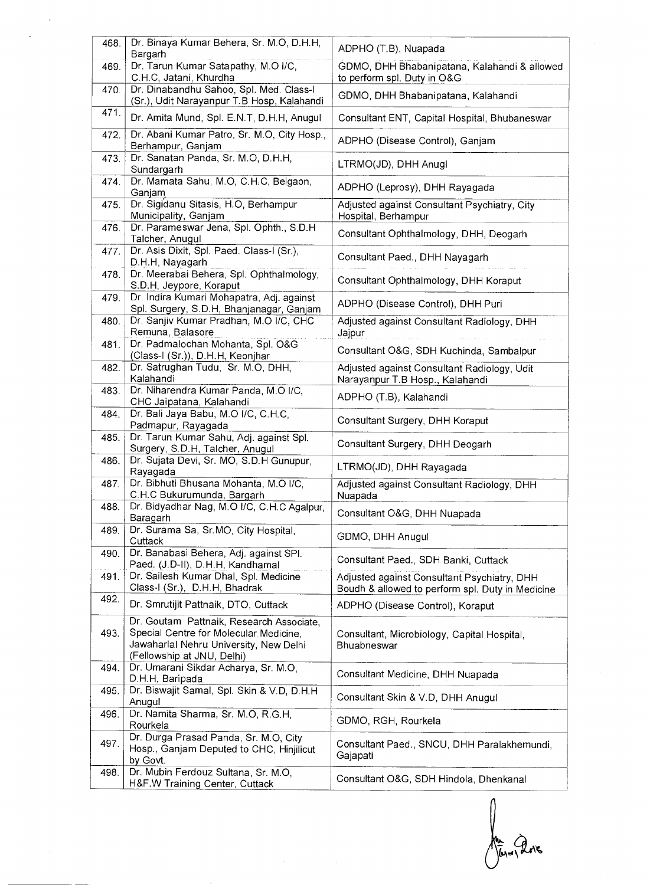| 468. | Dr. Binaya Kumar Behera, Sr. M.O, D.H.H,                                                                                     | ADPHO (T.B), Nuapada                                                                            |
|------|------------------------------------------------------------------------------------------------------------------------------|-------------------------------------------------------------------------------------------------|
|      | Bargarh                                                                                                                      |                                                                                                 |
| 469. | Dr. Tarun Kumar Satapathy, M.O I/C,<br>C.H.C, Jatani, Khurdha                                                                | GDMO, DHH Bhabanipatana, Kalahandi & allowed<br>to perform spl. Duty in O&G                     |
| 470. | Dr. Dinabandhu Sahoo, Spl. Med. Class-I                                                                                      |                                                                                                 |
|      | (Sr.), Udit Narayanpur T.B Hosp, Kalahandi                                                                                   | GDMO, DHH Bhabanipatana, Kalahandi                                                              |
| 471. | Dr. Amita Mund, Spl. E.N.T, D.H.H, Anugul                                                                                    | Consultant ENT, Capital Hospital, Bhubaneswar                                                   |
| 472. | Dr. Abani Kumar Patro, Sr. M.O, City Hosp.,<br>Berhampur, Ganjam                                                             | ADPHO (Disease Control), Ganjam                                                                 |
| 473. | Dr. Sanatan Panda, Sr. M.O, D.H.H.<br>Sundargarh                                                                             | LTRMO(JD), DHH Anugl                                                                            |
| 474. | Dr. Mamata Sahu, M.O, C.H.C, Belgaon,<br>Ganjam                                                                              | ADPHO (Leprosy), DHH Rayagada                                                                   |
| 475. | Dr. Sigidanu Sitasis, H.O, Berhampur<br>Municipality, Ganjam                                                                 | Adjusted against Consultant Psychiatry, City<br>Hospital, Berhampur                             |
| 476. | Dr. Parameswar Jena, Spl. Ophth., S.D.H.<br>Talcher, Anugul                                                                  | Consultant Ophthalmology, DHH, Deogarh                                                          |
| 477. | Dr. Asis Dixit, Spl. Paed. Class-I (Sr.),<br>D.H.H, Nayagarh                                                                 | Consultant Paed., DHH Nayagarh                                                                  |
| 478. | Dr. Meerabai Behera, Spl. Ophthalmology,<br>S.D.H, Jeypore, Koraput                                                          | Consultant Ophthalmology, DHH Koraput                                                           |
| 479. | Dr. Indira Kumari Mohapatra, Adj. against<br>Spl. Surgery, S.D.H, Bhanjanagar, Ganjam                                        | ADPHO (Disease Control), DHH Puri                                                               |
| 480. | Dr. Sanjiv Kumar Pradhan, M.O I/C, CHC<br>Remuna, Balasore                                                                   | Adjusted against Consultant Radiology, DHH<br>Jajpur                                            |
| 481. | Dr. Padmalochan Mohanta, Spl. O&G<br>(Class-I (Sr.)), D.H.H, Keonjhar                                                        | Consultant O&G, SDH Kuchinda, Sambalpur                                                         |
| 482. | Dr. Satrughan Tudu, Sr. M.O, DHH,<br>Kalahandi                                                                               | Adjusted against Consultant Radiology, Udit<br>Narayanpur T.B Hosp., Kalahandi                  |
| 483. | Dr. Niharendra Kumar Panda, M.O I/C,<br>CHC Jaipatana, Kalahandi                                                             | ADPHO (T.B), Kalahandi                                                                          |
| 484. | Dr. Bali Jaya Babu, M.O I/C, C.H.C.<br>Padmapur, Rayagada                                                                    | Consultant Surgery, DHH Koraput                                                                 |
| 485. | Dr. Tarun Kumar Sahu, Adj. against Spl.<br>Surgery, S.D.H, Talcher, Anugul                                                   | Consultant Surgery, DHH Deogarh                                                                 |
| 486. | Dr. Sujata Devi, Sr. MO, S.D.H Gunupur,<br>Rayagada                                                                          | LTRMO(JD), DHH Rayagada                                                                         |
| 487. | Dr. Bibhuti Bhusana Mohanta, M.O I/C,<br>C.H.C Bukurumunda, Bargarh                                                          | Adjusted against Consultant Radiology, DHH<br>Nuapada                                           |
| 488. | Dr. Bidyadhar Nag, M.O I/C, C.H.C Agalpur,<br>Baragarh                                                                       | Consultant O&G, DHH Nuapada                                                                     |
| 489. | Dr. Surama Sa, Sr.MO, City Hospital,<br>Cuttack                                                                              | GDMO, DHH Anugul                                                                                |
| 490. | Dr. Banabasi Behera, Adj. against SPI.<br>Paed. (J.D-II), D.H.H, Kandhamal                                                   | Consultant Paed., SDH Banki, Cuttack                                                            |
| 491. | Dr. Sailesh Kumar Dhal, Spl. Medicine<br>Class-I (Sr.), D.H.H, Bhadrak                                                       | Adjusted against Consultant Psychiatry, DHH<br>Boudh & allowed to perform spl. Duty in Medicine |
| 492. | Dr. Smrutijit Pattnaik, DTO, Cuttack                                                                                         | ADPHO (Disease Control), Koraput                                                                |
| 493. | Dr. Goutam Pattnaik, Research Associate,<br>Special Centre for Molecular Medicine.<br>Jawaharlal Nehru University, New Delhi | Consultant, Microbiology, Capital Hospital,<br>Bhuabneswar                                      |
| 494. | (Fellowship at JNU, Delhi)<br>Dr. Umarani Sikdar Acharya, Sr. M.O.                                                           | Consultant Medicine, DHH Nuapada                                                                |
| 495. | D.H.H, Baripada<br>Dr. Biswajit Samal, Spl. Skin & V.D, D.H.H.<br>Anugul                                                     | Consultant Skin & V.D, DHH Anugul                                                               |
| 496. | Dr. Namita Sharma, Sr. M.O, R.G.H,<br>Rourkela                                                                               | GDMO, RGH, Rourkela                                                                             |
| 497. | Dr. Durga Prasad Panda, Sr. M.O, City<br>Hosp., Ganjam Deputed to CHC, Hinjilicut                                            | Consultant Paed., SNCU, DHH Paralakhemundi,<br>Gajapati                                         |
| 498. | by Govt.<br>Dr. Mubin Ferdouz Sultana, Sr. M.O,<br>H&F.W Training Center, Cuttack                                            | Consultant O&G, SDH Hindola, Dhenkanal                                                          |

Mary 2018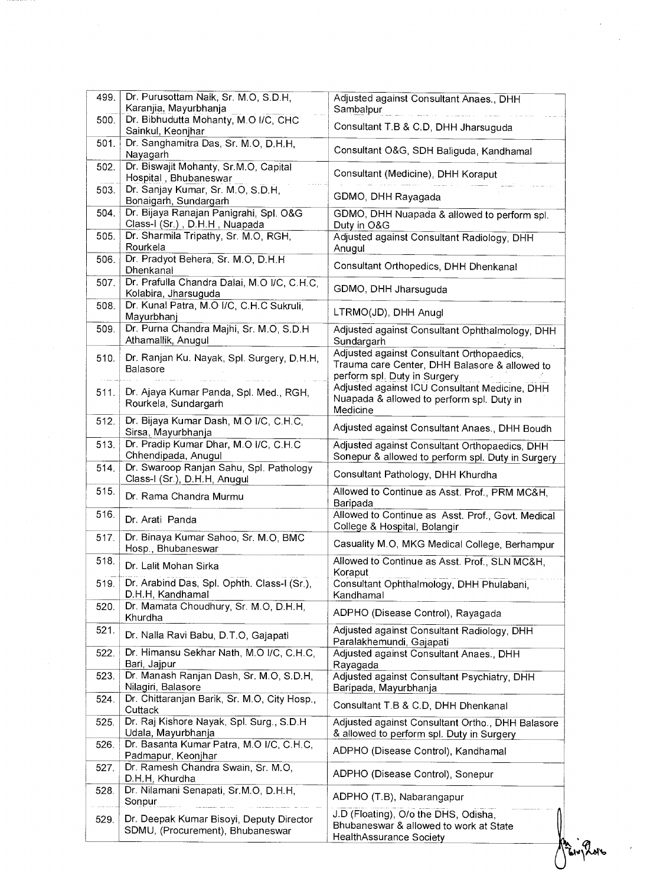| 499. | Dr. Purusottam Naik, Sr. M.O, S.D.H.<br>Karanjia, Mayurbhanja                | Adjusted against Consultant Anaes., DHH                                                                                    |
|------|------------------------------------------------------------------------------|----------------------------------------------------------------------------------------------------------------------------|
| 500. | Dr. Bibhudutta Mohanty, M.O I/C, CHC                                         | Sambalpur<br>Consultant T.B & C.D, DHH Jharsuguda                                                                          |
| 501. | Sainkul, Keonjhar<br>Dr. Sanghamitra Das, Sr. M.O, D.H.H.                    |                                                                                                                            |
|      | Nayagarh                                                                     | Consultant O&G, SDH Baliguda, Kandhamal                                                                                    |
| 502. | Dr. Biswajit Mohanty, Sr.M.O, Capital<br>Hospital, Bhubaneswar               | Consultant (Medicine), DHH Koraput                                                                                         |
| 503. | Dr. Sanjay Kumar, Sr. M.O, S.D.H,<br>Bonaigarh, Sundargarh                   | GDMO, DHH Rayagada                                                                                                         |
| 504. | Dr. Bijaya Ranajan Panigrahi, Spl. O&G<br>Class-I (Sr.), D.H.H, Nuapada      | GDMO, DHH Nuapada & allowed to perform spl.<br>Duty in O&G                                                                 |
| 505. | Dr. Sharmila Tripathy, Sr. M.O., RGH,<br>Rourkela                            | Adjusted against Consultant Radiology, DHH<br>Anugul                                                                       |
| 506. | Dr. Pradyot Behera, Sr. M.O, D.H.H.<br>Dhenkanal                             | Consultant Orthopedics, DHH Dhenkanal                                                                                      |
| 507. | Dr. Prafulla Chandra Dalai, M.O I/C, C.H.C,<br>Kolabira, Jharsuguda          | GDMO, DHH Jharsuguda                                                                                                       |
| 508. | Dr. Kunal Patra, M.O I/C, C.H.C Sukruli,<br>Mayurbhanj                       | LTRMO(JD), DHH Anugl                                                                                                       |
| 509. | Dr. Purna Chandra Majhi, Sr. M.O, S.D.H.<br>Athamallik, Anugul               | Adjusted against Consultant Ophthalmology, DHH<br>Sundargarh                                                               |
| 510. | Dr. Ranjan Ku. Nayak, Spl. Surgery, D.H.H,<br><b>Balasore</b>                | Adjusted against Consultant Orthopaedics,<br>Trauma care Center, DHH Balasore & allowed to<br>perform spl. Duty in Surgery |
| 511. | Dr. Ajaya Kumar Panda, Spl. Med., RGH,<br>Rourkela, Sundargarh               | Adjusted against ICU Consultant Medicine, DHH<br>Nuapada & allowed to perform spl. Duty in<br>Medicine                     |
| 512. | Dr. Bijaya Kumar Dash, M.O I/C, C.H.C,<br>Sirsa, Mayurbhanja                 | Adjusted against Consultant Anaes., DHH Boudh                                                                              |
| 513. | Dr. Pradip Kumar Dhar, M.O I/C, C.H.C.<br>Chhendipada, Anugul                | Adjusted against Consultant Orthopaedics, DHH<br>Sonepur & allowed to perform spl. Duty in Surgery                         |
| 514. | Dr. Swaroop Ranjan Sahu, Spl. Pathology<br>Class-I (Sr.), D.H.H. Anugul      | Consultant Pathology, DHH Khurdha                                                                                          |
| 515. | Dr. Rama Chandra Murmu                                                       | Allowed to Continue as Asst. Prof., PRM MC&H,<br>Baripada                                                                  |
| 516. | Dr. Arati Panda                                                              | Allowed to Continue as Asst. Prof., Govt. Medical<br>College & Hospital, Bolangir                                          |
| 517. | Dr. Binaya Kumar Sahoo, Sr. M.O. BMC<br>Hosp., Bhubaneswar                   | Casuality M.O, MKG Medical College, Berhampur                                                                              |
| 518. | Dr. Lalit Mohan Sirka                                                        | Allowed to Continue as Asst. Prof., SLN MC&H,<br>Koraput                                                                   |
| 519. | Dr. Arabind Das, Spl. Ophth. Class-I (Sr.),<br>D.H.H. Kandhamal              | Consultant Ophthalmology, DHH Phulabani,<br>Kandhamal                                                                      |
| 520. | Dr. Mamata Choudhury, Sr. M.O. D.H.H.<br>Khurdha                             | ADPHO (Disease Control), Rayagada                                                                                          |
| 521. | Dr. Nalla Ravi Babu, D.T.O, Gajapati                                         | Adjusted against Consultant Radiology, DHH<br>Paralakhemundi, Gajapati                                                     |
| 522. | Dr. Himansu Sekhar Nath, M.O I/C, C.H.C,<br>Bari, Jajpur                     | Adjusted against Consultant Anaes., DHH<br>Rayagada                                                                        |
| 523. | Dr. Manash Ranjan Dash, Sr. M.O. S.D.H.<br>Nilagiri, Balasore                | Adjusted against Consultant Psychiatry, DHH<br>Baripada, Mayurbhanja                                                       |
| 524. | Dr. Chittaranjan Barik, Sr. M.O, City Hosp.,<br>Cuttack                      | Consultant T.B & C.D, DHH Dhenkanal                                                                                        |
| 525. | Dr. Raj Kishore Nayak, Spl. Surg., S.D.H.<br>Udala, Mayurbhanja              | Adjusted against Consultant Ortho., DHH Balasore<br>& allowed to perform spl. Duty in Surgery                              |
| 526. | Dr. Basanta Kumar Patra, M.O I/C, C.H.C,<br>Padmapur, Keonjhar               | ADPHO (Disease Control), Kandhamal                                                                                         |
| 527. | Dr. Ramesh Chandra Swain, Sr. M.O,<br>D.H.H, Khurdha                         | ADPHO (Disease Control), Sonepur                                                                                           |
| 528. | Dr. Nilamani Senapati, Sr.M.O, D.H.H.<br>Sonpur                              | ADPHO (T.B), Nabarangapur                                                                                                  |
| 529. | Dr. Deepak Kumar Bisoyi, Deputy Director<br>SDMU, (Procurement), Bhubaneswar | J.D (Floating), O/o the DHS, Odisha,<br>Bhubaneswar & allowed to work at State<br>HealthAssurance Society                  |

 $\overline{\mathcal{L}}$ 

 $\frac{1}{2}$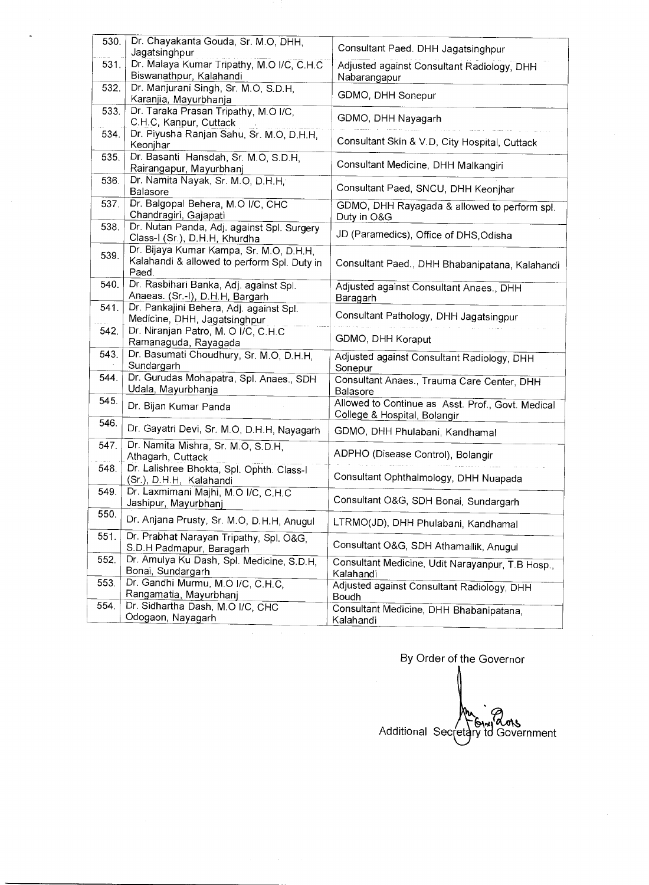| 530. | Dr. Chayakanta Gouda, Sr. M.O, DHH,<br>Jagatsinghpur                                            | Consultant Paed. DHH Jagatsinghpur                                                |
|------|-------------------------------------------------------------------------------------------------|-----------------------------------------------------------------------------------|
| 531. | Dr. Malaya Kumar Tripathy, M.O I/C, C.H.C<br>Biswanathpur, Kalahandi                            | Adjusted against Consultant Radiology, DHH                                        |
| 532. | Dr. Manjurani Singh, Sr. M.O, S.D.H,<br>Karanjia, Mayurbhanja                                   | Nabarangapur<br>GDMO, DHH Sonepur                                                 |
| 533. | Dr. Taraka Prasan Tripathy, M.O I/C,                                                            | GDMO, DHH Nayagarh                                                                |
| 534. | C.H.C, Kanpur, Cuttack<br>Dr. Piyusha Ranjan Sahu, Sr. M.O, D.H.H.                              | Consultant Skin & V.D, City Hospital, Cuttack                                     |
| 535. | Keonjhar<br>Dr. Basanti Hansdah, Sr. M.O, S.D.H,                                                | Consultant Medicine, DHH Malkangiri                                               |
| 536. | Rairangapur, Mayurbhanj<br>Dr. Namita Nayak, Sr. M.O, D.H.H.                                    |                                                                                   |
| 537. | Balasore<br>Dr. Balgopal Behera, M.O I/C, CHC                                                   | Consultant Paed, SNCU, DHH Keonjhar                                               |
|      | Chandragiri, Gajapati                                                                           | GDMO, DHH Rayagada & allowed to perform spl.<br>Duty in O&G                       |
| 538. | Dr. Nutan Panda, Adj. against Spl. Surgery<br>Class-I (Sr.), D.H.H, Khurdha                     | JD (Paramedics), Office of DHS, Odisha                                            |
| 539. | Dr. Bijaya Kumar Kampa, Sr. M.O, D.H.H.<br>Kalahandi & allowed to perform Spl. Duty in<br>Paed. | Consultant Paed., DHH Bhabanipatana, Kalahandi                                    |
| 540. | Dr. Rasbihari Banka, Adj. against Spl.<br>Anaeas. (Sr.-I), D.H.H. Bargarh                       | Adjusted against Consultant Anaes., DHH<br>Baragarh                               |
| 541. | Dr. Pankajini Behera, Adj. against Spl.<br>Medicine, DHH, Jagatsinghpur                         | Consultant Pathology, DHH Jagatsingpur                                            |
| 542. | Dr. Niranjan Patro, M. O I/C, C.H.C<br>Ramanaguda, Rayagada                                     | GDMO, DHH Koraput                                                                 |
| 543. | Dr. Basumati Choudhury, Sr. M.O, D.H.H.<br>Sundargarh                                           | Adjusted against Consultant Radiology, DHH<br>Sonepur                             |
| 544. | Dr. Gurudas Mohapatra, Spl. Anaes., SDH<br>Udala, Mayurbhanja                                   | Consultant Anaes., Trauma Care Center, DHH<br>Balasore                            |
| 545. | Dr. Bijan Kumar Panda                                                                           | Allowed to Continue as Asst. Prof., Govt. Medical<br>College & Hospital, Bolangir |
| 546. | Dr. Gayatri Devi, Sr. M.O, D.H.H, Nayagarh                                                      | GDMO, DHH Phulabani, Kandhamal                                                    |
| 547. | Dr. Namita Mishra, Sr. M.O, S.D.H,<br>Athagarh, Cuttack                                         | ADPHO (Disease Control), Bolangir                                                 |
| 548. |                                                                                                 |                                                                                   |
|      | Dr. Lalishree Bhokta, Spl. Ophth. Class-I<br>(Sr.), D.H.H. Kalahandi                            | Consultant Ophthalmology, DHH Nuapada                                             |
| 549. | Dr. Laxmimani Majhi, M.O I/C, C.H.C                                                             | Consultant O&G, SDH Bonai, Sundargarh                                             |
| 550. | Jashipur, Mayurbhanj<br>Dr. Anjana Prusty, Sr. M.O, D.H.H. Anugul                               | LTRMO(JD), DHH Phulabani, Kandhamal                                               |
| 551. | Dr. Prabhat Narayan Tripathy, Spl. O&G,<br>S.D.H Padmapur, Baragarh                             | Consultant O&G, SDH Athamallik, Anugul                                            |
| 552. | Dr. Amulya Ku Dash, Spl. Medicine, S.D.H,                                                       | Consultant Medicine, Udit Narayanpur, T.B Hosp.,                                  |
| 553. | Bonai, Sundargarh<br>Dr. Gandhi Murmu, M.O I/C, C.H.C.<br>Rangamatia, Mayurbhanj                | Kalahandi<br>Adjusted against Consultant Radiology, DHH<br>Boudh                  |

By Order of the Governor  $\overline{a}$ Additional Secretary to Government